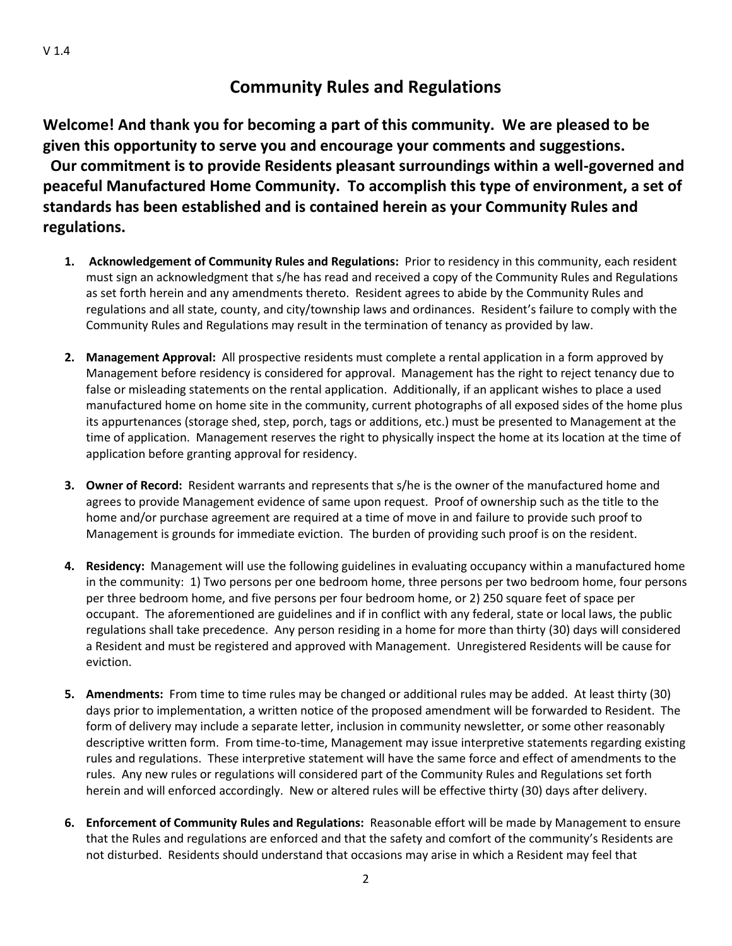# **Community Rules and Regulations**

**Welcome! And thank you for becoming a part of this community. We are pleased to be given this opportunity to serve you and encourage your comments and suggestions. Our commitment is to provide Residents pleasant surroundings within a well-governed and peaceful Manufactured Home Community. To accomplish this type of environment, a set of standards has been established and is contained herein as your Community Rules and regulations.**

- **1. Acknowledgement of Community Rules and Regulations:** Prior to residency in this community, each resident must sign an acknowledgment that s/he has read and received a copy of the Community Rules and Regulations as set forth herein and any amendments thereto. Resident agrees to abide by the Community Rules and regulations and all state, county, and city/township laws and ordinances. Resident's failure to comply with the Community Rules and Regulations may result in the termination of tenancy as provided by law.
- **2. Management Approval:** All prospective residents must complete a rental application in a form approved by Management before residency is considered for approval. Management has the right to reject tenancy due to false or misleading statements on the rental application. Additionally, if an applicant wishes to place a used manufactured home on home site in the community, current photographs of all exposed sides of the home plus its appurtenances (storage shed, step, porch, tags or additions, etc.) must be presented to Management at the time of application. Management reserves the right to physically inspect the home at its location at the time of application before granting approval for residency.
- **3. Owner of Record:** Resident warrants and represents that s/he is the owner of the manufactured home and agrees to provide Management evidence of same upon request. Proof of ownership such as the title to the home and/or purchase agreement are required at a time of move in and failure to provide such proof to Management is grounds for immediate eviction. The burden of providing such proof is on the resident.
- **4. Residency:** Management will use the following guidelines in evaluating occupancy within a manufactured home in the community: 1) Two persons per one bedroom home, three persons per two bedroom home, four persons per three bedroom home, and five persons per four bedroom home, or 2) 250 square feet of space per occupant. The aforementioned are guidelines and if in conflict with any federal, state or local laws, the public regulations shall take precedence. Any person residing in a home for more than thirty (30) days will considered a Resident and must be registered and approved with Management. Unregistered Residents will be cause for eviction.
- **5. Amendments:** From time to time rules may be changed or additional rules may be added. At least thirty (30) days prior to implementation, a written notice of the proposed amendment will be forwarded to Resident. The form of delivery may include a separate letter, inclusion in community newsletter, or some other reasonably descriptive written form. From time-to-time, Management may issue interpretive statements regarding existing rules and regulations. These interpretive statement will have the same force and effect of amendments to the rules. Any new rules or regulations will considered part of the Community Rules and Regulations set forth herein and will enforced accordingly. New or altered rules will be effective thirty (30) days after delivery.
- **6. Enforcement of Community Rules and Regulations:** Reasonable effort will be made by Management to ensure that the Rules and regulations are enforced and that the safety and comfort of the community's Residents are not disturbed. Residents should understand that occasions may arise in which a Resident may feel that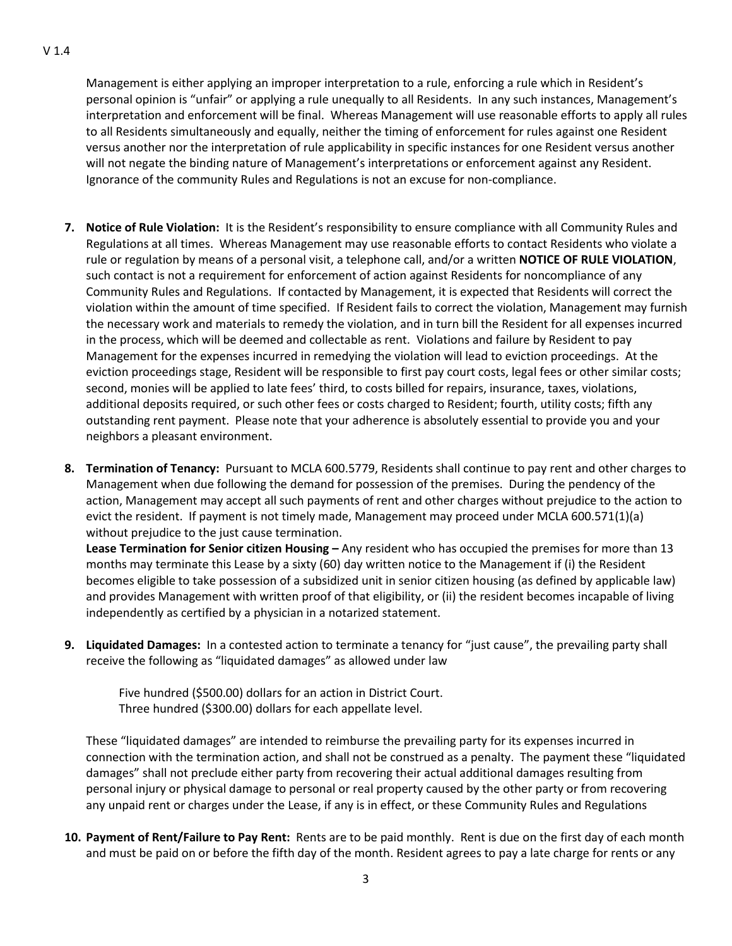Management is either applying an improper interpretation to a rule, enforcing a rule which in Resident's personal opinion is "unfair" or applying a rule unequally to all Residents. In any such instances, Management's interpretation and enforcement will be final. Whereas Management will use reasonable efforts to apply all rules to all Residents simultaneously and equally, neither the timing of enforcement for rules against one Resident versus another nor the interpretation of rule applicability in specific instances for one Resident versus another will not negate the binding nature of Management's interpretations or enforcement against any Resident. Ignorance of the community Rules and Regulations is not an excuse for non-compliance.

- **7. Notice of Rule Violation:** It is the Resident's responsibility to ensure compliance with all Community Rules and Regulations at all times. Whereas Management may use reasonable efforts to contact Residents who violate a rule or regulation by means of a personal visit, a telephone call, and/or a written **NOTICE OF RULE VIOLATION**, such contact is not a requirement for enforcement of action against Residents for noncompliance of any Community Rules and Regulations. If contacted by Management, it is expected that Residents will correct the violation within the amount of time specified. If Resident fails to correct the violation, Management may furnish the necessary work and materials to remedy the violation, and in turn bill the Resident for all expenses incurred in the process, which will be deemed and collectable as rent. Violations and failure by Resident to pay Management for the expenses incurred in remedying the violation will lead to eviction proceedings. At the eviction proceedings stage, Resident will be responsible to first pay court costs, legal fees or other similar costs; second, monies will be applied to late fees' third, to costs billed for repairs, insurance, taxes, violations, additional deposits required, or such other fees or costs charged to Resident; fourth, utility costs; fifth any outstanding rent payment. Please note that your adherence is absolutely essential to provide you and your neighbors a pleasant environment.
- **8. Termination of Tenancy:** Pursuant to MCLA 600.5779, Residents shall continue to pay rent and other charges to Management when due following the demand for possession of the premises. During the pendency of the action, Management may accept all such payments of rent and other charges without prejudice to the action to evict the resident. If payment is not timely made, Management may proceed under MCLA 600.571(1)(a) without prejudice to the just cause termination.

**Lease Termination for Senior citizen Housing –** Any resident who has occupied the premises for more than 13 months may terminate this Lease by a sixty (60) day written notice to the Management if (i) the Resident becomes eligible to take possession of a subsidized unit in senior citizen housing (as defined by applicable law) and provides Management with written proof of that eligibility, or (ii) the resident becomes incapable of living independently as certified by a physician in a notarized statement.

**9. Liquidated Damages:** In a contested action to terminate a tenancy for "just cause", the prevailing party shall receive the following as "liquidated damages" as allowed under law

 Five hundred (\$500.00) dollars for an action in District Court. Three hundred (\$300.00) dollars for each appellate level.

These "liquidated damages" are intended to reimburse the prevailing party for its expenses incurred in connection with the termination action, and shall not be construed as a penalty. The payment these "liquidated damages" shall not preclude either party from recovering their actual additional damages resulting from personal injury or physical damage to personal or real property caused by the other party or from recovering any unpaid rent or charges under the Lease, if any is in effect, or these Community Rules and Regulations

**10. Payment of Rent/Failure to Pay Rent:** Rents are to be paid monthly. Rent is due on the first day of each month and must be paid on or before the fifth day of the month. Resident agrees to pay a late charge for rents or any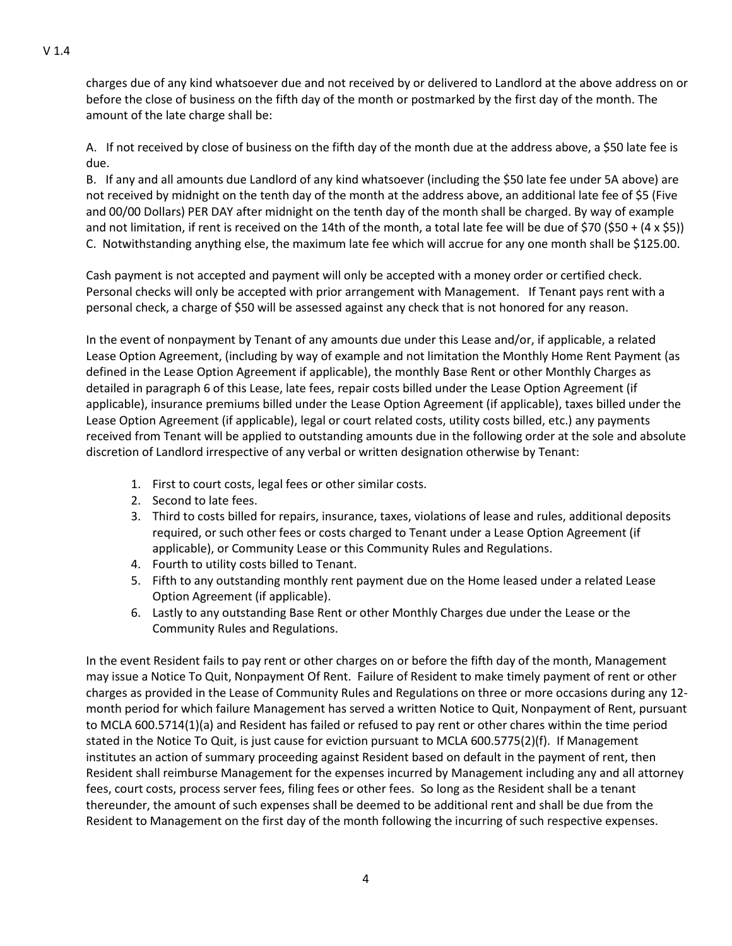charges due of any kind whatsoever due and not received by or delivered to Landlord at the above address on or before the close of business on the fifth day of the month or postmarked by the first day of the month. The amount of the late charge shall be:

A. If not received by close of business on the fifth day of the month due at the address above, a \$50 late fee is due.

B. If any and all amounts due Landlord of any kind whatsoever (including the \$50 late fee under 5A above) are not received by midnight on the tenth day of the month at the address above, an additional late fee of \$5 (Five and 00/00 Dollars) PER DAY after midnight on the tenth day of the month shall be charged. By way of example and not limitation, if rent is received on the 14th of the month, a total late fee will be due of \$70 (\$50 + (4 x \$5)) C.Notwithstanding anything else, the maximum late fee which will accrue for any one month shall be \$125.00.

Cash payment is not accepted and payment will only be accepted with a money order or certified check. Personal checks will only be accepted with prior arrangement with Management. If Tenant pays rent with a personal check, a charge of \$50 will be assessed against any check that is not honored for any reason.

In the event of nonpayment by Tenant of any amounts due under this Lease and/or, if applicable, a related Lease Option Agreement, (including by way of example and not limitation the Monthly Home Rent Payment (as defined in the Lease Option Agreement if applicable), the monthly Base Rent or other Monthly Charges as detailed in paragraph 6 of this Lease, late fees, repair costs billed under the Lease Option Agreement (if applicable), insurance premiums billed under the Lease Option Agreement (if applicable), taxes billed under the Lease Option Agreement (if applicable), legal or court related costs, utility costs billed, etc.) any payments received from Tenant will be applied to outstanding amounts due in the following order at the sole and absolute discretion of Landlord irrespective of any verbal or written designation otherwise by Tenant:

- 1. First to court costs, legal fees or other similar costs.
- 2. Second to late fees.
- 3. Third to costs billed for repairs, insurance, taxes, violations of lease and rules, additional deposits required, or such other fees or costs charged to Tenant under a Lease Option Agreement (if applicable), or Community Lease or this Community Rules and Regulations.
- 4. Fourth to utility costs billed to Tenant.
- 5. Fifth to any outstanding monthly rent payment due on the Home leased under a related Lease Option Agreement (if applicable).
- 6. Lastly to any outstanding Base Rent or other Monthly Charges due under the Lease or the Community Rules and Regulations.

In the event Resident fails to pay rent or other charges on or before the fifth day of the month, Management may issue a Notice To Quit, Nonpayment Of Rent. Failure of Resident to make timely payment of rent or other charges as provided in the Lease of Community Rules and Regulations on three or more occasions during any 12 month period for which failure Management has served a written Notice to Quit, Nonpayment of Rent, pursuant to MCLA 600.5714(1)(a) and Resident has failed or refused to pay rent or other chares within the time period stated in the Notice To Quit, is just cause for eviction pursuant to MCLA 600.5775(2)(f). If Management institutes an action of summary proceeding against Resident based on default in the payment of rent, then Resident shall reimburse Management for the expenses incurred by Management including any and all attorney fees, court costs, process server fees, filing fees or other fees. So long as the Resident shall be a tenant thereunder, the amount of such expenses shall be deemed to be additional rent and shall be due from the Resident to Management on the first day of the month following the incurring of such respective expenses.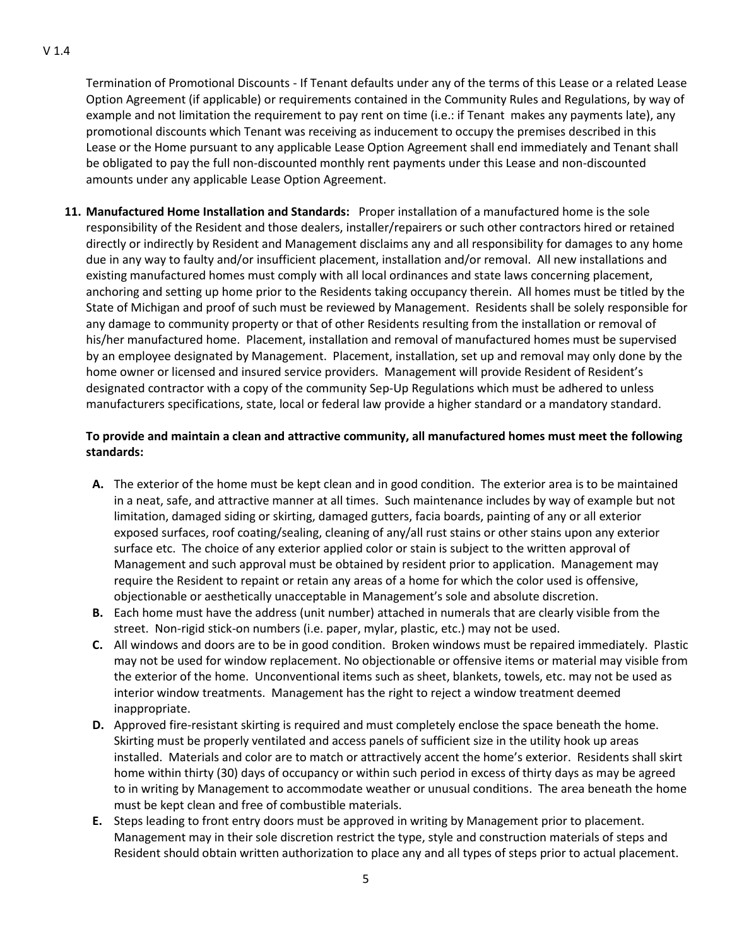Termination of Promotional Discounts - If Tenant defaults under any of the terms of this Lease or a related Lease Option Agreement (if applicable) or requirements contained in the Community Rules and Regulations, by way of example and not limitation the requirement to pay rent on time (i.e.: if Tenant makes any payments late), any promotional discounts which Tenant was receiving as inducement to occupy the premises described in this Lease or the Home pursuant to any applicable Lease Option Agreement shall end immediately and Tenant shall be obligated to pay the full non-discounted monthly rent payments under this Lease and non-discounted amounts under any applicable Lease Option Agreement.

**11. Manufactured Home Installation and Standards:** Proper installation of a manufactured home is the sole responsibility of the Resident and those dealers, installer/repairers or such other contractors hired or retained directly or indirectly by Resident and Management disclaims any and all responsibility for damages to any home due in any way to faulty and/or insufficient placement, installation and/or removal. All new installations and existing manufactured homes must comply with all local ordinances and state laws concerning placement, anchoring and setting up home prior to the Residents taking occupancy therein. All homes must be titled by the State of Michigan and proof of such must be reviewed by Management. Residents shall be solely responsible for any damage to community property or that of other Residents resulting from the installation or removal of his/her manufactured home. Placement, installation and removal of manufactured homes must be supervised by an employee designated by Management. Placement, installation, set up and removal may only done by the home owner or licensed and insured service providers. Management will provide Resident of Resident's designated contractor with a copy of the community Sep-Up Regulations which must be adhered to unless manufacturers specifications, state, local or federal law provide a higher standard or a mandatory standard.

## **To provide and maintain a clean and attractive community, all manufactured homes must meet the following standards:**

- **A.** The exterior of the home must be kept clean and in good condition. The exterior area is to be maintained in a neat, safe, and attractive manner at all times. Such maintenance includes by way of example but not limitation, damaged siding or skirting, damaged gutters, facia boards, painting of any or all exterior exposed surfaces, roof coating/sealing, cleaning of any/all rust stains or other stains upon any exterior surface etc. The choice of any exterior applied color or stain is subject to the written approval of Management and such approval must be obtained by resident prior to application. Management may require the Resident to repaint or retain any areas of a home for which the color used is offensive, objectionable or aesthetically unacceptable in Management's sole and absolute discretion.
- **B.** Each home must have the address (unit number) attached in numerals that are clearly visible from the street. Non-rigid stick-on numbers (i.e. paper, mylar, plastic, etc.) may not be used.
- **C.** All windows and doors are to be in good condition. Broken windows must be repaired immediately. Plastic may not be used for window replacement. No objectionable or offensive items or material may visible from the exterior of the home. Unconventional items such as sheet, blankets, towels, etc. may not be used as interior window treatments. Management has the right to reject a window treatment deemed inappropriate.
- **D.** Approved fire-resistant skirting is required and must completely enclose the space beneath the home. Skirting must be properly ventilated and access panels of sufficient size in the utility hook up areas installed. Materials and color are to match or attractively accent the home's exterior. Residents shall skirt home within thirty (30) days of occupancy or within such period in excess of thirty days as may be agreed to in writing by Management to accommodate weather or unusual conditions. The area beneath the home must be kept clean and free of combustible materials.
- **E.** Steps leading to front entry doors must be approved in writing by Management prior to placement. Management may in their sole discretion restrict the type, style and construction materials of steps and Resident should obtain written authorization to place any and all types of steps prior to actual placement.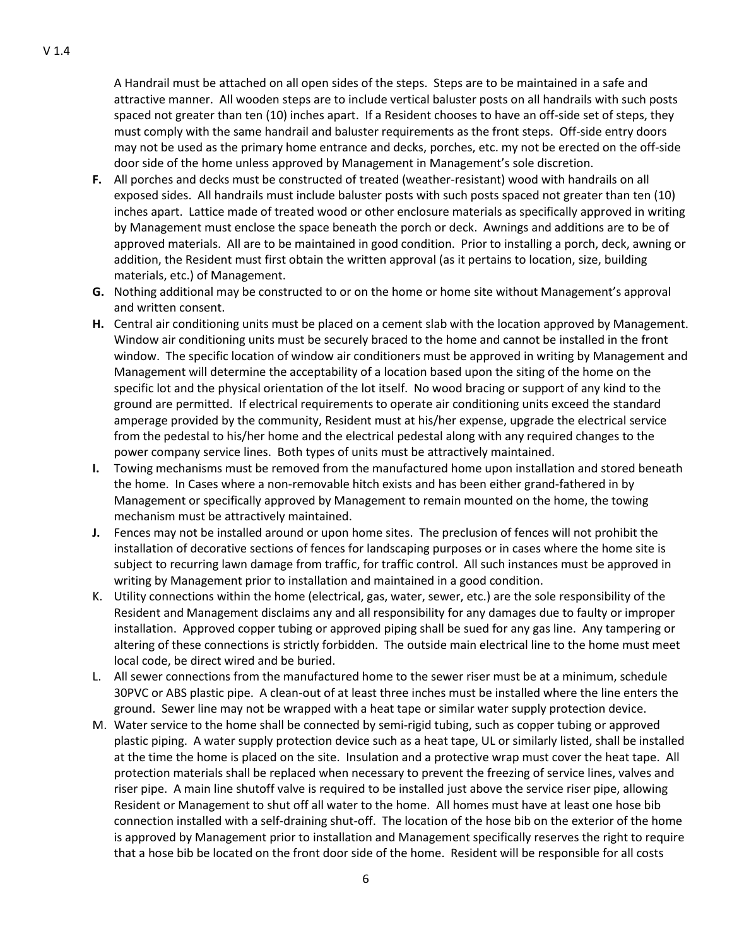A Handrail must be attached on all open sides of the steps. Steps are to be maintained in a safe and attractive manner. All wooden steps are to include vertical baluster posts on all handrails with such posts spaced not greater than ten (10) inches apart. If a Resident chooses to have an off-side set of steps, they must comply with the same handrail and baluster requirements as the front steps. Off-side entry doors may not be used as the primary home entrance and decks, porches, etc. my not be erected on the off-side door side of the home unless approved by Management in Management's sole discretion.

- **F.** All porches and decks must be constructed of treated (weather-resistant) wood with handrails on all exposed sides. All handrails must include baluster posts with such posts spaced not greater than ten (10) inches apart. Lattice made of treated wood or other enclosure materials as specifically approved in writing by Management must enclose the space beneath the porch or deck. Awnings and additions are to be of approved materials. All are to be maintained in good condition. Prior to installing a porch, deck, awning or addition, the Resident must first obtain the written approval (as it pertains to location, size, building materials, etc.) of Management.
- **G.** Nothing additional may be constructed to or on the home or home site without Management's approval and written consent.
- **H.** Central air conditioning units must be placed on a cement slab with the location approved by Management. Window air conditioning units must be securely braced to the home and cannot be installed in the front window. The specific location of window air conditioners must be approved in writing by Management and Management will determine the acceptability of a location based upon the siting of the home on the specific lot and the physical orientation of the lot itself. No wood bracing or support of any kind to the ground are permitted. If electrical requirements to operate air conditioning units exceed the standard amperage provided by the community, Resident must at his/her expense, upgrade the electrical service from the pedestal to his/her home and the electrical pedestal along with any required changes to the power company service lines. Both types of units must be attractively maintained.
- **I.** Towing mechanisms must be removed from the manufactured home upon installation and stored beneath the home. In Cases where a non-removable hitch exists and has been either grand-fathered in by Management or specifically approved by Management to remain mounted on the home, the towing mechanism must be attractively maintained.
- **J.** Fences may not be installed around or upon home sites. The preclusion of fences will not prohibit the installation of decorative sections of fences for landscaping purposes or in cases where the home site is subject to recurring lawn damage from traffic, for traffic control. All such instances must be approved in writing by Management prior to installation and maintained in a good condition.
- K. Utility connections within the home (electrical, gas, water, sewer, etc.) are the sole responsibility of the Resident and Management disclaims any and all responsibility for any damages due to faulty or improper installation. Approved copper tubing or approved piping shall be sued for any gas line. Any tampering or altering of these connections is strictly forbidden. The outside main electrical line to the home must meet local code, be direct wired and be buried.
- L. All sewer connections from the manufactured home to the sewer riser must be at a minimum, schedule 30PVC or ABS plastic pipe. A clean-out of at least three inches must be installed where the line enters the ground. Sewer line may not be wrapped with a heat tape or similar water supply protection device.
- M. Water service to the home shall be connected by semi-rigid tubing, such as copper tubing or approved plastic piping. A water supply protection device such as a heat tape, UL or similarly listed, shall be installed at the time the home is placed on the site. Insulation and a protective wrap must cover the heat tape. All protection materials shall be replaced when necessary to prevent the freezing of service lines, valves and riser pipe. A main line shutoff valve is required to be installed just above the service riser pipe, allowing Resident or Management to shut off all water to the home. All homes must have at least one hose bib connection installed with a self-draining shut-off. The location of the hose bib on the exterior of the home is approved by Management prior to installation and Management specifically reserves the right to require that a hose bib be located on the front door side of the home. Resident will be responsible for all costs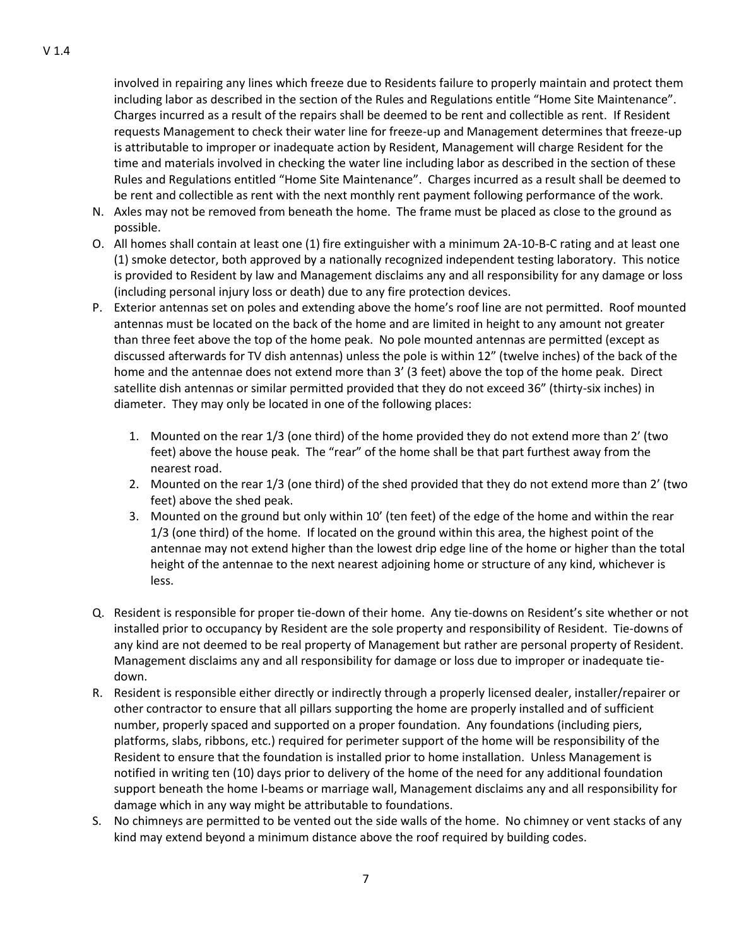involved in repairing any lines which freeze due to Residents failure to properly maintain and protect them including labor as described in the section of the Rules and Regulations entitle "Home Site Maintenance". Charges incurred as a result of the repairs shall be deemed to be rent and collectible as rent. If Resident requests Management to check their water line for freeze-up and Management determines that freeze-up is attributable to improper or inadequate action by Resident, Management will charge Resident for the time and materials involved in checking the water line including labor as described in the section of these Rules and Regulations entitled "Home Site Maintenance". Charges incurred as a result shall be deemed to be rent and collectible as rent with the next monthly rent payment following performance of the work.

- N. Axles may not be removed from beneath the home. The frame must be placed as close to the ground as possible.
- O. All homes shall contain at least one (1) fire extinguisher with a minimum 2A-10-B-C rating and at least one (1) smoke detector, both approved by a nationally recognized independent testing laboratory. This notice is provided to Resident by law and Management disclaims any and all responsibility for any damage or loss (including personal injury loss or death) due to any fire protection devices.
- P. Exterior antennas set on poles and extending above the home's roof line are not permitted. Roof mounted antennas must be located on the back of the home and are limited in height to any amount not greater than three feet above the top of the home peak. No pole mounted antennas are permitted (except as discussed afterwards for TV dish antennas) unless the pole is within 12" (twelve inches) of the back of the home and the antennae does not extend more than 3' (3 feet) above the top of the home peak. Direct satellite dish antennas or similar permitted provided that they do not exceed 36" (thirty-six inches) in diameter. They may only be located in one of the following places:
	- 1. Mounted on the rear 1/3 (one third) of the home provided they do not extend more than 2' (two feet) above the house peak. The "rear" of the home shall be that part furthest away from the nearest road.
	- 2. Mounted on the rear 1/3 (one third) of the shed provided that they do not extend more than 2' (two feet) above the shed peak.
	- 3. Mounted on the ground but only within 10' (ten feet) of the edge of the home and within the rear 1/3 (one third) of the home. If located on the ground within this area, the highest point of the antennae may not extend higher than the lowest drip edge line of the home or higher than the total height of the antennae to the next nearest adjoining home or structure of any kind, whichever is less.
- Q. Resident is responsible for proper tie-down of their home. Any tie-downs on Resident's site whether or not installed prior to occupancy by Resident are the sole property and responsibility of Resident. Tie-downs of any kind are not deemed to be real property of Management but rather are personal property of Resident. Management disclaims any and all responsibility for damage or loss due to improper or inadequate tiedown.
- R. Resident is responsible either directly or indirectly through a properly licensed dealer, installer/repairer or other contractor to ensure that all pillars supporting the home are properly installed and of sufficient number, properly spaced and supported on a proper foundation. Any foundations (including piers, platforms, slabs, ribbons, etc.) required for perimeter support of the home will be responsibility of the Resident to ensure that the foundation is installed prior to home installation. Unless Management is notified in writing ten (10) days prior to delivery of the home of the need for any additional foundation support beneath the home I-beams or marriage wall, Management disclaims any and all responsibility for damage which in any way might be attributable to foundations.
- S. No chimneys are permitted to be vented out the side walls of the home. No chimney or vent stacks of any kind may extend beyond a minimum distance above the roof required by building codes.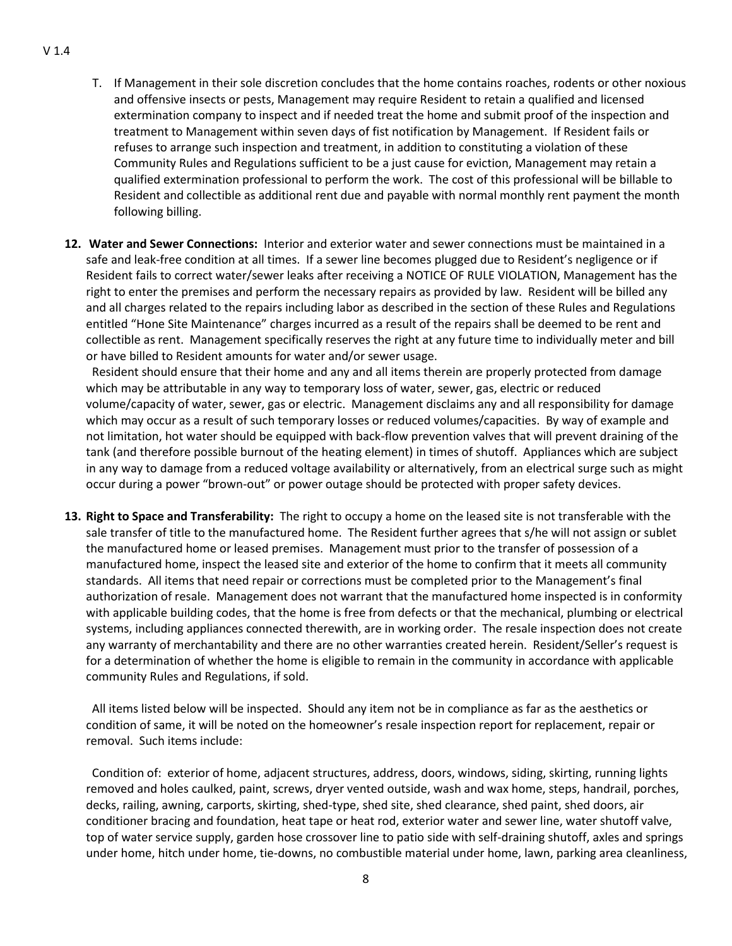- T. If Management in their sole discretion concludes that the home contains roaches, rodents or other noxious and offensive insects or pests, Management may require Resident to retain a qualified and licensed extermination company to inspect and if needed treat the home and submit proof of the inspection and treatment to Management within seven days of fist notification by Management. If Resident fails or refuses to arrange such inspection and treatment, in addition to constituting a violation of these Community Rules and Regulations sufficient to be a just cause for eviction, Management may retain a qualified extermination professional to perform the work. The cost of this professional will be billable to Resident and collectible as additional rent due and payable with normal monthly rent payment the month following billing.
- **12. Water and Sewer Connections:** Interior and exterior water and sewer connections must be maintained in a safe and leak-free condition at all times. If a sewer line becomes plugged due to Resident's negligence or if Resident fails to correct water/sewer leaks after receiving a NOTICE OF RULE VIOLATION, Management has the right to enter the premises and perform the necessary repairs as provided by law. Resident will be billed any and all charges related to the repairs including labor as described in the section of these Rules and Regulations entitled "Hone Site Maintenance" charges incurred as a result of the repairs shall be deemed to be rent and collectible as rent. Management specifically reserves the right at any future time to individually meter and bill or have billed to Resident amounts for water and/or sewer usage.

 Resident should ensure that their home and any and all items therein are properly protected from damage which may be attributable in any way to temporary loss of water, sewer, gas, electric or reduced volume/capacity of water, sewer, gas or electric. Management disclaims any and all responsibility for damage which may occur as a result of such temporary losses or reduced volumes/capacities. By way of example and not limitation, hot water should be equipped with back-flow prevention valves that will prevent draining of the tank (and therefore possible burnout of the heating element) in times of shutoff. Appliances which are subject in any way to damage from a reduced voltage availability or alternatively, from an electrical surge such as might occur during a power "brown-out" or power outage should be protected with proper safety devices.

**13. Right to Space and Transferability:** The right to occupy a home on the leased site is not transferable with the sale transfer of title to the manufactured home. The Resident further agrees that s/he will not assign or sublet the manufactured home or leased premises. Management must prior to the transfer of possession of a manufactured home, inspect the leased site and exterior of the home to confirm that it meets all community standards. All items that need repair or corrections must be completed prior to the Management's final authorization of resale. Management does not warrant that the manufactured home inspected is in conformity with applicable building codes, that the home is free from defects or that the mechanical, plumbing or electrical systems, including appliances connected therewith, are in working order. The resale inspection does not create any warranty of merchantability and there are no other warranties created herein. Resident/Seller's request is for a determination of whether the home is eligible to remain in the community in accordance with applicable community Rules and Regulations, if sold.

 All items listed below will be inspected. Should any item not be in compliance as far as the aesthetics or condition of same, it will be noted on the homeowner's resale inspection report for replacement, repair or removal. Such items include:

 Condition of: exterior of home, adjacent structures, address, doors, windows, siding, skirting, running lights removed and holes caulked, paint, screws, dryer vented outside, wash and wax home, steps, handrail, porches, decks, railing, awning, carports, skirting, shed-type, shed site, shed clearance, shed paint, shed doors, air conditioner bracing and foundation, heat tape or heat rod, exterior water and sewer line, water shutoff valve, top of water service supply, garden hose crossover line to patio side with self-draining shutoff, axles and springs under home, hitch under home, tie-downs, no combustible material under home, lawn, parking area cleanliness,

#### V 1.4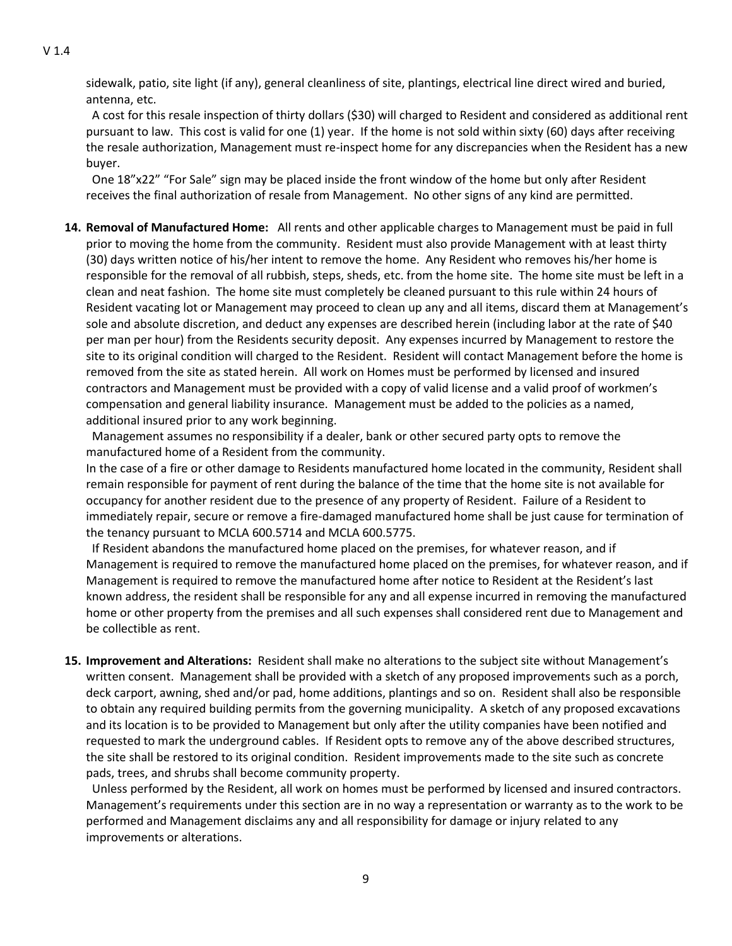sidewalk, patio, site light (if any), general cleanliness of site, plantings, electrical line direct wired and buried, antenna, etc.

 A cost for this resale inspection of thirty dollars (\$30) will charged to Resident and considered as additional rent pursuant to law. This cost is valid for one (1) year. If the home is not sold within sixty (60) days after receiving the resale authorization, Management must re-inspect home for any discrepancies when the Resident has a new buyer.

 One 18"x22" "For Sale" sign may be placed inside the front window of the home but only after Resident receives the final authorization of resale from Management. No other signs of any kind are permitted.

**14. Removal of Manufactured Home:** All rents and other applicable charges to Management must be paid in full prior to moving the home from the community. Resident must also provide Management with at least thirty (30) days written notice of his/her intent to remove the home. Any Resident who removes his/her home is responsible for the removal of all rubbish, steps, sheds, etc. from the home site. The home site must be left in a clean and neat fashion. The home site must completely be cleaned pursuant to this rule within 24 hours of Resident vacating lot or Management may proceed to clean up any and all items, discard them at Management's sole and absolute discretion, and deduct any expenses are described herein (including labor at the rate of \$40 per man per hour) from the Residents security deposit. Any expenses incurred by Management to restore the site to its original condition will charged to the Resident. Resident will contact Management before the home is removed from the site as stated herein. All work on Homes must be performed by licensed and insured contractors and Management must be provided with a copy of valid license and a valid proof of workmen's compensation and general liability insurance. Management must be added to the policies as a named, additional insured prior to any work beginning.

Management assumes no responsibility if a dealer, bank or other secured party opts to remove the manufactured home of a Resident from the community.

In the case of a fire or other damage to Residents manufactured home located in the community, Resident shall remain responsible for payment of rent during the balance of the time that the home site is not available for occupancy for another resident due to the presence of any property of Resident. Failure of a Resident to immediately repair, secure or remove a fire-damaged manufactured home shall be just cause for termination of the tenancy pursuant to MCLA 600.5714 and MCLA 600.5775.

 If Resident abandons the manufactured home placed on the premises, for whatever reason, and if Management is required to remove the manufactured home placed on the premises, for whatever reason, and if Management is required to remove the manufactured home after notice to Resident at the Resident's last known address, the resident shall be responsible for any and all expense incurred in removing the manufactured home or other property from the premises and all such expenses shall considered rent due to Management and be collectible as rent.

**15. Improvement and Alterations:** Resident shall make no alterations to the subject site without Management's written consent. Management shall be provided with a sketch of any proposed improvements such as a porch, deck carport, awning, shed and/or pad, home additions, plantings and so on. Resident shall also be responsible to obtain any required building permits from the governing municipality. A sketch of any proposed excavations and its location is to be provided to Management but only after the utility companies have been notified and requested to mark the underground cables. If Resident opts to remove any of the above described structures, the site shall be restored to its original condition. Resident improvements made to the site such as concrete pads, trees, and shrubs shall become community property.

 Unless performed by the Resident, all work on homes must be performed by licensed and insured contractors. Management's requirements under this section are in no way a representation or warranty as to the work to be performed and Management disclaims any and all responsibility for damage or injury related to any improvements or alterations.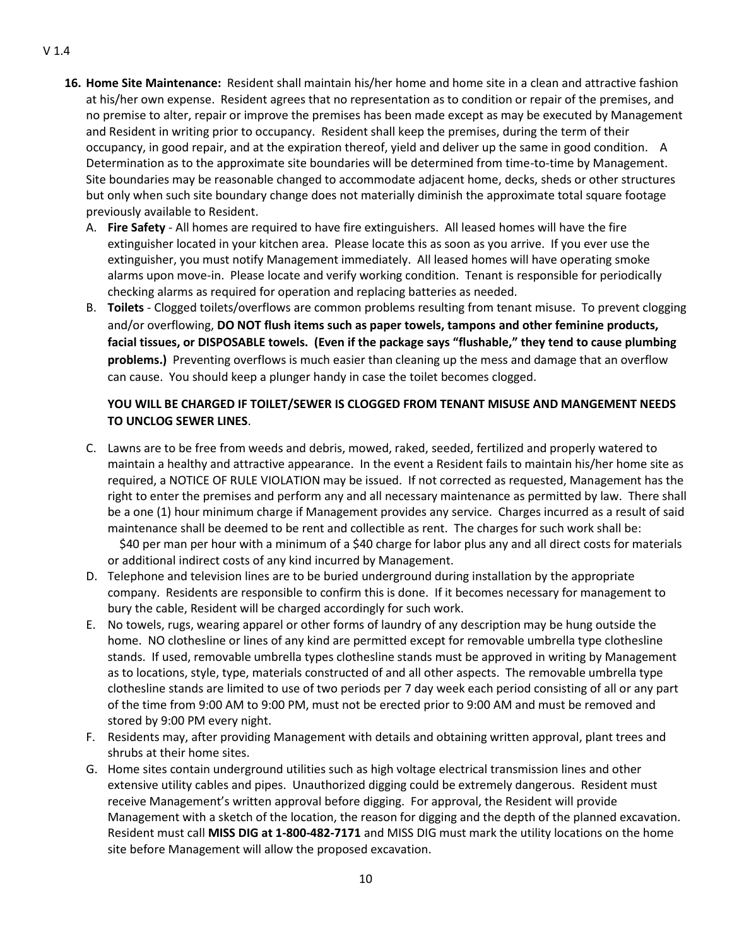- **16. Home Site Maintenance:** Resident shall maintain his/her home and home site in a clean and attractive fashion at his/her own expense. Resident agrees that no representation as to condition or repair of the premises, and no premise to alter, repair or improve the premises has been made except as may be executed by Management and Resident in writing prior to occupancy. Resident shall keep the premises, during the term of their occupancy, in good repair, and at the expiration thereof, yield and deliver up the same in good condition. A Determination as to the approximate site boundaries will be determined from time-to-time by Management. Site boundaries may be reasonable changed to accommodate adjacent home, decks, sheds or other structures but only when such site boundary change does not materially diminish the approximate total square footage previously available to Resident.
	- A. **Fire Safety** All homes are required to have fire extinguishers. All leased homes will have the fire extinguisher located in your kitchen area. Please locate this as soon as you arrive. If you ever use the extinguisher, you must notify Management immediately. All leased homes will have operating smoke alarms upon move-in. Please locate and verify working condition. Tenant is responsible for periodically checking alarms as required for operation and replacing batteries as needed.
	- B. **Toilets**  Clogged toilets/overflows are common problems resulting from tenant misuse. To prevent clogging and/or overflowing, **DO NOT flush items such as paper towels, tampons and other feminine products, facial tissues, or DISPOSABLE towels. (Even if the package says "flushable," they tend to cause plumbing problems.)** Preventing overflows is much easier than cleaning up the mess and damage that an overflow can cause. You should keep a plunger handy in case the toilet becomes clogged.

## **YOU WILL BE CHARGED IF TOILET/SEWER IS CLOGGED FROM TENANT MISUSE AND MANGEMENT NEEDS TO UNCLOG SEWER LINES**.

C. Lawns are to be free from weeds and debris, mowed, raked, seeded, fertilized and properly watered to maintain a healthy and attractive appearance. In the event a Resident fails to maintain his/her home site as required, a NOTICE OF RULE VIOLATION may be issued. If not corrected as requested, Management has the right to enter the premises and perform any and all necessary maintenance as permitted by law. There shall be a one (1) hour minimum charge if Management provides any service. Charges incurred as a result of said maintenance shall be deemed to be rent and collectible as rent. The charges for such work shall be:

 \$40 per man per hour with a minimum of a \$40 charge for labor plus any and all direct costs for materials or additional indirect costs of any kind incurred by Management.

- D. Telephone and television lines are to be buried underground during installation by the appropriate company. Residents are responsible to confirm this is done. If it becomes necessary for management to bury the cable, Resident will be charged accordingly for such work.
- E. No towels, rugs, wearing apparel or other forms of laundry of any description may be hung outside the home. NO clothesline or lines of any kind are permitted except for removable umbrella type clothesline stands. If used, removable umbrella types clothesline stands must be approved in writing by Management as to locations, style, type, materials constructed of and all other aspects. The removable umbrella type clothesline stands are limited to use of two periods per 7 day week each period consisting of all or any part of the time from 9:00 AM to 9:00 PM, must not be erected prior to 9:00 AM and must be removed and stored by 9:00 PM every night.
- F. Residents may, after providing Management with details and obtaining written approval, plant trees and shrubs at their home sites.
- G. Home sites contain underground utilities such as high voltage electrical transmission lines and other extensive utility cables and pipes. Unauthorized digging could be extremely dangerous. Resident must receive Management's written approval before digging. For approval, the Resident will provide Management with a sketch of the location, the reason for digging and the depth of the planned excavation. Resident must call **MISS DIG at 1-800-482-7171** and MISS DIG must mark the utility locations on the home site before Management will allow the proposed excavation.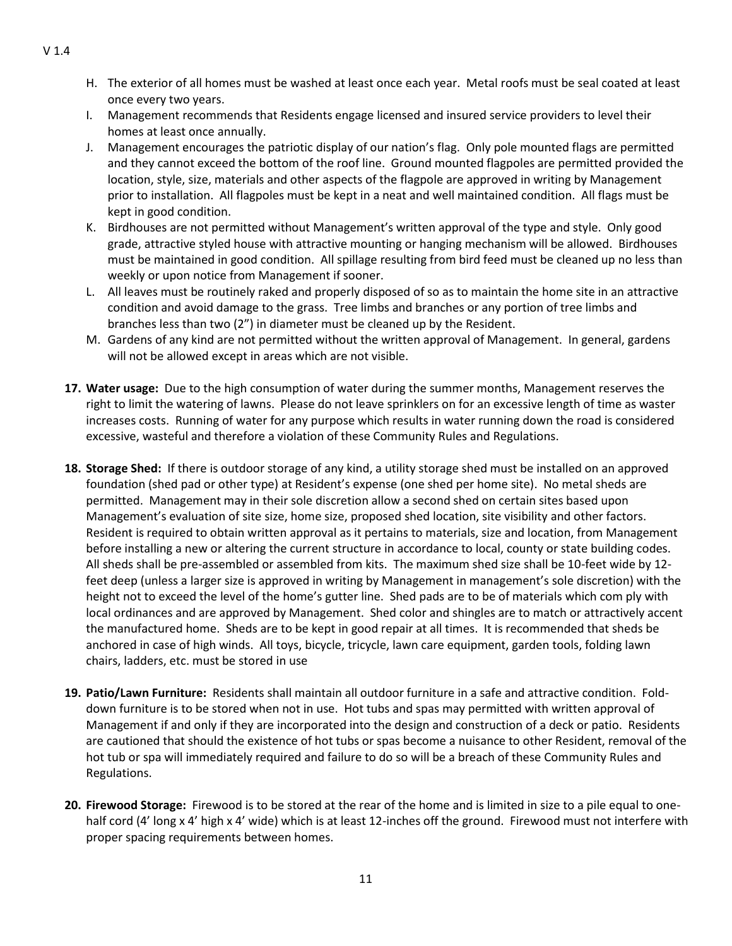- H. The exterior of all homes must be washed at least once each year. Metal roofs must be seal coated at least once every two years.
- I. Management recommends that Residents engage licensed and insured service providers to level their homes at least once annually.
- J. Management encourages the patriotic display of our nation's flag. Only pole mounted flags are permitted and they cannot exceed the bottom of the roof line. Ground mounted flagpoles are permitted provided the location, style, size, materials and other aspects of the flagpole are approved in writing by Management prior to installation. All flagpoles must be kept in a neat and well maintained condition. All flags must be kept in good condition.
- K. Birdhouses are not permitted without Management's written approval of the type and style. Only good grade, attractive styled house with attractive mounting or hanging mechanism will be allowed. Birdhouses must be maintained in good condition. All spillage resulting from bird feed must be cleaned up no less than weekly or upon notice from Management if sooner.
- L. All leaves must be routinely raked and properly disposed of so as to maintain the home site in an attractive condition and avoid damage to the grass. Tree limbs and branches or any portion of tree limbs and branches less than two (2") in diameter must be cleaned up by the Resident.
- M. Gardens of any kind are not permitted without the written approval of Management. In general, gardens will not be allowed except in areas which are not visible.
- **17. Water usage:** Due to the high consumption of water during the summer months, Management reserves the right to limit the watering of lawns. Please do not leave sprinklers on for an excessive length of time as waster increases costs. Running of water for any purpose which results in water running down the road is considered excessive, wasteful and therefore a violation of these Community Rules and Regulations.
- **18. Storage Shed:** If there is outdoor storage of any kind, a utility storage shed must be installed on an approved foundation (shed pad or other type) at Resident's expense (one shed per home site). No metal sheds are permitted. Management may in their sole discretion allow a second shed on certain sites based upon Management's evaluation of site size, home size, proposed shed location, site visibility and other factors. Resident is required to obtain written approval as it pertains to materials, size and location, from Management before installing a new or altering the current structure in accordance to local, county or state building codes. All sheds shall be pre-assembled or assembled from kits. The maximum shed size shall be 10-feet wide by 12 feet deep (unless a larger size is approved in writing by Management in management's sole discretion) with the height not to exceed the level of the home's gutter line. Shed pads are to be of materials which com ply with local ordinances and are approved by Management. Shed color and shingles are to match or attractively accent the manufactured home. Sheds are to be kept in good repair at all times. It is recommended that sheds be anchored in case of high winds. All toys, bicycle, tricycle, lawn care equipment, garden tools, folding lawn chairs, ladders, etc. must be stored in use
- **19. Patio/Lawn Furniture:** Residents shall maintain all outdoor furniture in a safe and attractive condition. Folddown furniture is to be stored when not in use. Hot tubs and spas may permitted with written approval of Management if and only if they are incorporated into the design and construction of a deck or patio. Residents are cautioned that should the existence of hot tubs or spas become a nuisance to other Resident, removal of the hot tub or spa will immediately required and failure to do so will be a breach of these Community Rules and Regulations.
- **20. Firewood Storage:** Firewood is to be stored at the rear of the home and is limited in size to a pile equal to onehalf cord (4' long x 4' high x 4' wide) which is at least 12-inches off the ground. Firewood must not interfere with proper spacing requirements between homes.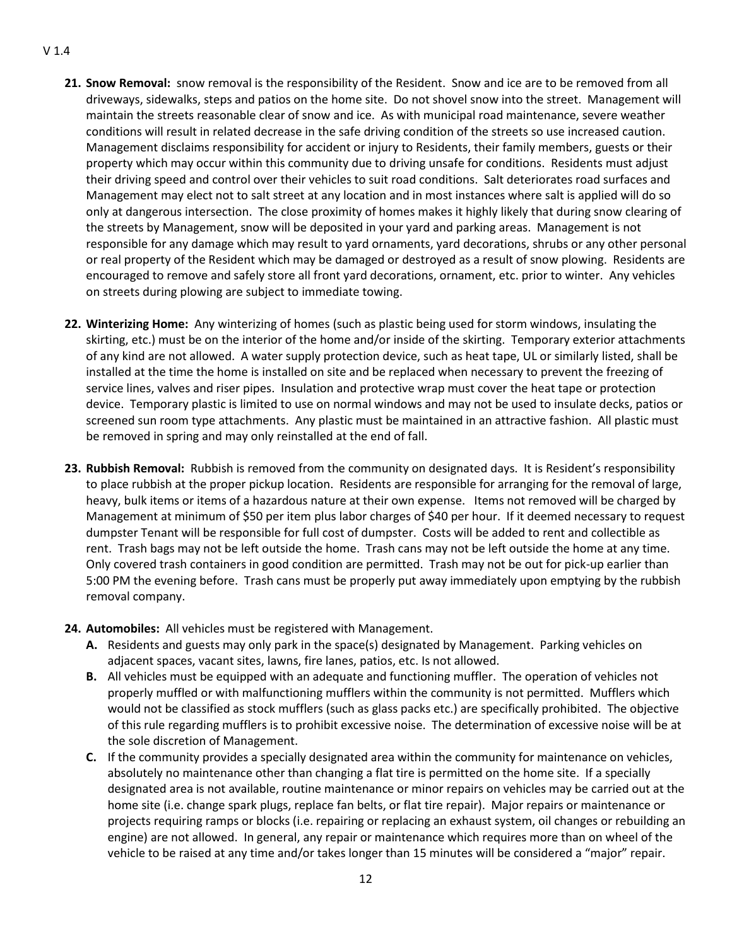#### V 1.4

- **21. Snow Removal:** snow removal is the responsibility of the Resident. Snow and ice are to be removed from all driveways, sidewalks, steps and patios on the home site. Do not shovel snow into the street. Management will maintain the streets reasonable clear of snow and ice. As with municipal road maintenance, severe weather conditions will result in related decrease in the safe driving condition of the streets so use increased caution. Management disclaims responsibility for accident or injury to Residents, their family members, guests or their property which may occur within this community due to driving unsafe for conditions. Residents must adjust their driving speed and control over their vehicles to suit road conditions. Salt deteriorates road surfaces and Management may elect not to salt street at any location and in most instances where salt is applied will do so only at dangerous intersection. The close proximity of homes makes it highly likely that during snow clearing of the streets by Management, snow will be deposited in your yard and parking areas. Management is not responsible for any damage which may result to yard ornaments, yard decorations, shrubs or any other personal or real property of the Resident which may be damaged or destroyed as a result of snow plowing. Residents are encouraged to remove and safely store all front yard decorations, ornament, etc. prior to winter. Any vehicles on streets during plowing are subject to immediate towing.
- **22. Winterizing Home:** Any winterizing of homes (such as plastic being used for storm windows, insulating the skirting, etc.) must be on the interior of the home and/or inside of the skirting. Temporary exterior attachments of any kind are not allowed. A water supply protection device, such as heat tape, UL or similarly listed, shall be installed at the time the home is installed on site and be replaced when necessary to prevent the freezing of service lines, valves and riser pipes. Insulation and protective wrap must cover the heat tape or protection device. Temporary plastic is limited to use on normal windows and may not be used to insulate decks, patios or screened sun room type attachments. Any plastic must be maintained in an attractive fashion. All plastic must be removed in spring and may only reinstalled at the end of fall.
- **23. Rubbish Removal:** Rubbish is removed from the community on designated days. It is Resident's responsibility to place rubbish at the proper pickup location. Residents are responsible for arranging for the removal of large, heavy, bulk items or items of a hazardous nature at their own expense. Items not removed will be charged by Management at minimum of \$50 per item plus labor charges of \$40 per hour. If it deemed necessary to request dumpster Tenant will be responsible for full cost of dumpster. Costs will be added to rent and collectible as rent. Trash bags may not be left outside the home. Trash cans may not be left outside the home at any time. Only covered trash containers in good condition are permitted. Trash may not be out for pick-up earlier than 5:00 PM the evening before. Trash cans must be properly put away immediately upon emptying by the rubbish removal company.
- **24. Automobiles:** All vehicles must be registered with Management.
	- **A.** Residents and guests may only park in the space(s) designated by Management. Parking vehicles on adjacent spaces, vacant sites, lawns, fire lanes, patios, etc. Is not allowed.
	- **B.** All vehicles must be equipped with an adequate and functioning muffler. The operation of vehicles not properly muffled or with malfunctioning mufflers within the community is not permitted. Mufflers which would not be classified as stock mufflers (such as glass packs etc.) are specifically prohibited. The objective of this rule regarding mufflers is to prohibit excessive noise. The determination of excessive noise will be at the sole discretion of Management.
	- **C.** If the community provides a specially designated area within the community for maintenance on vehicles, absolutely no maintenance other than changing a flat tire is permitted on the home site. If a specially designated area is not available, routine maintenance or minor repairs on vehicles may be carried out at the home site (i.e. change spark plugs, replace fan belts, or flat tire repair). Major repairs or maintenance or projects requiring ramps or blocks (i.e. repairing or replacing an exhaust system, oil changes or rebuilding an engine) are not allowed. In general, any repair or maintenance which requires more than on wheel of the vehicle to be raised at any time and/or takes longer than 15 minutes will be considered a "major" repair.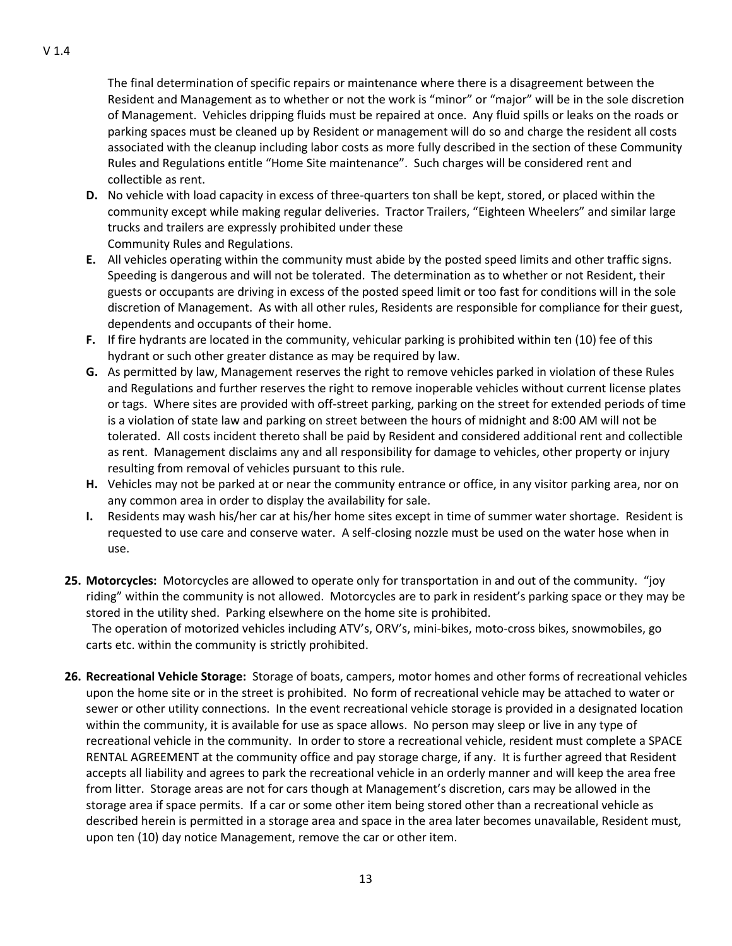The final determination of specific repairs or maintenance where there is a disagreement between the Resident and Management as to whether or not the work is "minor" or "major" will be in the sole discretion of Management. Vehicles dripping fluids must be repaired at once. Any fluid spills or leaks on the roads or parking spaces must be cleaned up by Resident or management will do so and charge the resident all costs associated with the cleanup including labor costs as more fully described in the section of these Community Rules and Regulations entitle "Home Site maintenance". Such charges will be considered rent and collectible as rent.

- **D.** No vehicle with load capacity in excess of three-quarters ton shall be kept, stored, or placed within the community except while making regular deliveries. Tractor Trailers, "Eighteen Wheelers" and similar large trucks and trailers are expressly prohibited under these Community Rules and Regulations.
- **E.** All vehicles operating within the community must abide by the posted speed limits and other traffic signs. Speeding is dangerous and will not be tolerated. The determination as to whether or not Resident, their guests or occupants are driving in excess of the posted speed limit or too fast for conditions will in the sole discretion of Management. As with all other rules, Residents are responsible for compliance for their guest, dependents and occupants of their home.
- **F.** If fire hydrants are located in the community, vehicular parking is prohibited within ten (10) fee of this hydrant or such other greater distance as may be required by law.
- **G.** As permitted by law, Management reserves the right to remove vehicles parked in violation of these Rules and Regulations and further reserves the right to remove inoperable vehicles without current license plates or tags. Where sites are provided with off-street parking, parking on the street for extended periods of time is a violation of state law and parking on street between the hours of midnight and 8:00 AM will not be tolerated. All costs incident thereto shall be paid by Resident and considered additional rent and collectible as rent. Management disclaims any and all responsibility for damage to vehicles, other property or injury resulting from removal of vehicles pursuant to this rule.
- **H.** Vehicles may not be parked at or near the community entrance or office, in any visitor parking area, nor on any common area in order to display the availability for sale.
- **I.** Residents may wash his/her car at his/her home sites except in time of summer water shortage. Resident is requested to use care and conserve water. A self-closing nozzle must be used on the water hose when in use.
- **25. Motorcycles:** Motorcycles are allowed to operate only for transportation in and out of the community. "joy riding" within the community is not allowed. Motorcycles are to park in resident's parking space or they may be stored in the utility shed. Parking elsewhere on the home site is prohibited.

 The operation of motorized vehicles including ATV's, ORV's, mini-bikes, moto-cross bikes, snowmobiles, go carts etc. within the community is strictly prohibited.

**26. Recreational Vehicle Storage:** Storage of boats, campers, motor homes and other forms of recreational vehicles upon the home site or in the street is prohibited. No form of recreational vehicle may be attached to water or sewer or other utility connections. In the event recreational vehicle storage is provided in a designated location within the community, it is available for use as space allows. No person may sleep or live in any type of recreational vehicle in the community. In order to store a recreational vehicle, resident must complete a SPACE RENTAL AGREEMENT at the community office and pay storage charge, if any. It is further agreed that Resident accepts all liability and agrees to park the recreational vehicle in an orderly manner and will keep the area free from litter. Storage areas are not for cars though at Management's discretion, cars may be allowed in the storage area if space permits. If a car or some other item being stored other than a recreational vehicle as described herein is permitted in a storage area and space in the area later becomes unavailable, Resident must, upon ten (10) day notice Management, remove the car or other item.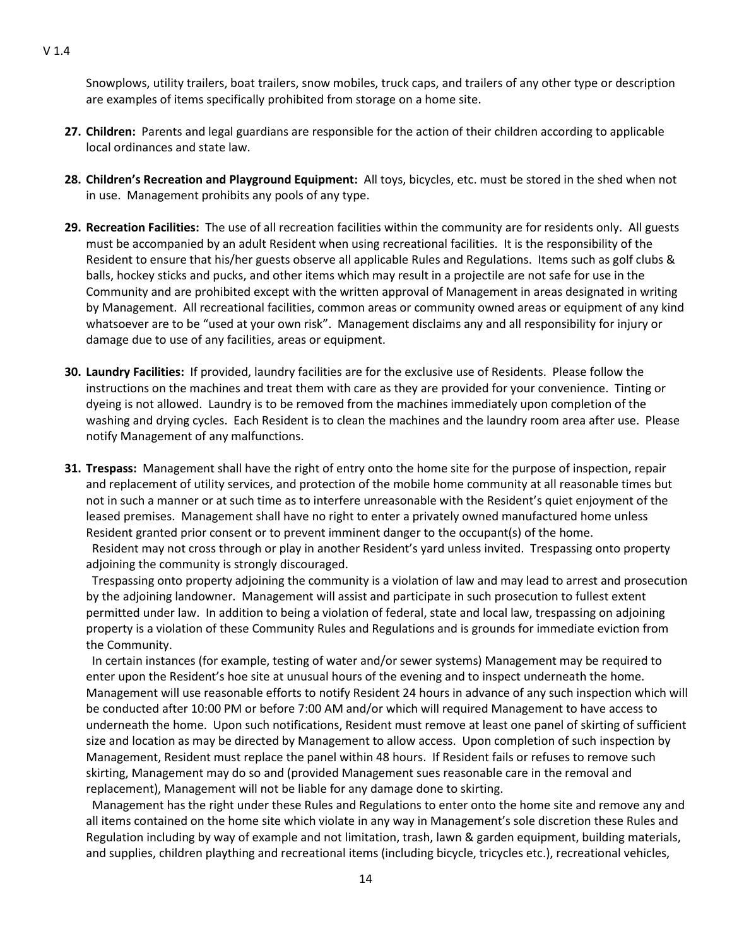Snowplows, utility trailers, boat trailers, snow mobiles, truck caps, and trailers of any other type or description are examples of items specifically prohibited from storage on a home site.

- **27. Children:** Parents and legal guardians are responsible for the action of their children according to applicable local ordinances and state law.
- **28. Children's Recreation and Playground Equipment:** All toys, bicycles, etc. must be stored in the shed when not in use. Management prohibits any pools of any type.
- **29. Recreation Facilities:** The use of all recreation facilities within the community are for residents only. All guests must be accompanied by an adult Resident when using recreational facilities. It is the responsibility of the Resident to ensure that his/her guests observe all applicable Rules and Regulations. Items such as golf clubs & balls, hockey sticks and pucks, and other items which may result in a projectile are not safe for use in the Community and are prohibited except with the written approval of Management in areas designated in writing by Management. All recreational facilities, common areas or community owned areas or equipment of any kind whatsoever are to be "used at your own risk". Management disclaims any and all responsibility for injury or damage due to use of any facilities, areas or equipment.
- **30. Laundry Facilities:** If provided, laundry facilities are for the exclusive use of Residents. Please follow the instructions on the machines and treat them with care as they are provided for your convenience. Tinting or dyeing is not allowed. Laundry is to be removed from the machines immediately upon completion of the washing and drying cycles. Each Resident is to clean the machines and the laundry room area after use. Please notify Management of any malfunctions.
- **31. Trespass:** Management shall have the right of entry onto the home site for the purpose of inspection, repair and replacement of utility services, and protection of the mobile home community at all reasonable times but not in such a manner or at such time as to interfere unreasonable with the Resident's quiet enjoyment of the leased premises. Management shall have no right to enter a privately owned manufactured home unless Resident granted prior consent or to prevent imminent danger to the occupant(s) of the home.

 Resident may not cross through or play in another Resident's yard unless invited. Trespassing onto property adjoining the community is strongly discouraged.

 Trespassing onto property adjoining the community is a violation of law and may lead to arrest and prosecution by the adjoining landowner. Management will assist and participate in such prosecution to fullest extent permitted under law. In addition to being a violation of federal, state and local law, trespassing on adjoining property is a violation of these Community Rules and Regulations and is grounds for immediate eviction from the Community.

 In certain instances (for example, testing of water and/or sewer systems) Management may be required to enter upon the Resident's hoe site at unusual hours of the evening and to inspect underneath the home. Management will use reasonable efforts to notify Resident 24 hours in advance of any such inspection which will be conducted after 10:00 PM or before 7:00 AM and/or which will required Management to have access to underneath the home. Upon such notifications, Resident must remove at least one panel of skirting of sufficient size and location as may be directed by Management to allow access. Upon completion of such inspection by Management, Resident must replace the panel within 48 hours. If Resident fails or refuses to remove such skirting, Management may do so and (provided Management sues reasonable care in the removal and replacement), Management will not be liable for any damage done to skirting.

 Management has the right under these Rules and Regulations to enter onto the home site and remove any and all items contained on the home site which violate in any way in Management's sole discretion these Rules and Regulation including by way of example and not limitation, trash, lawn & garden equipment, building materials, and supplies, children plaything and recreational items (including bicycle, tricycles etc.), recreational vehicles,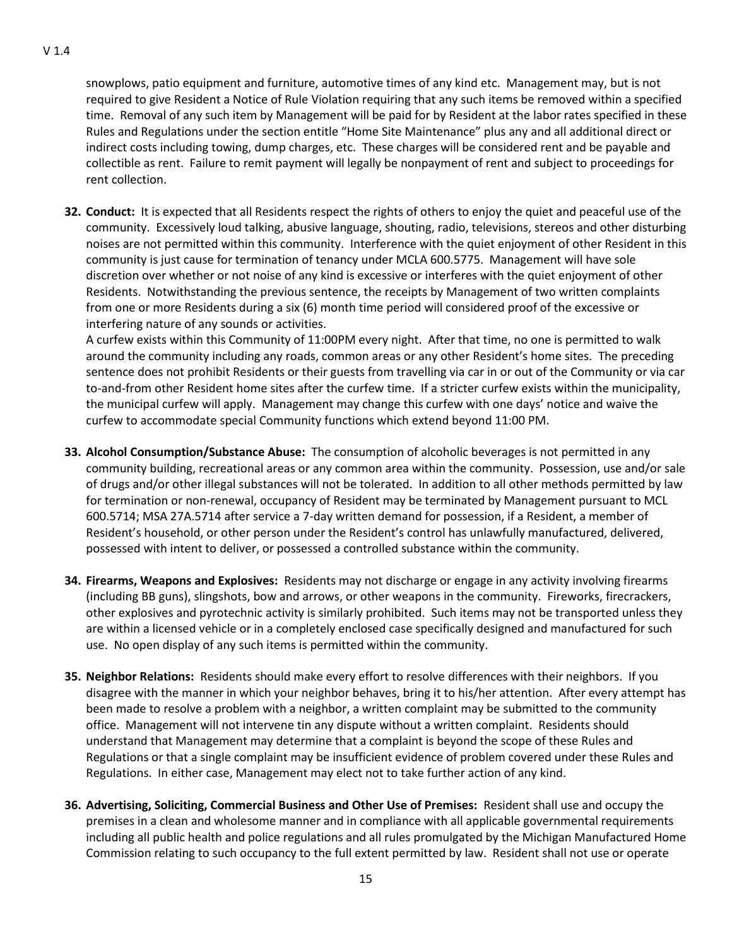snowplows, patio equipment and furniture, automotive times of any kind etc. Management may, but is not required to give Resident a Notice of Rule Violation requiring that any such items be removed within a specified time. Removal of any such item by Management will be paid for by Resident at the labor rates specified in these Rules and Regulations under the section entitle "Home Site Maintenance" plus any and all additional direct or indirect costs including towing, dump charges, etc. These charges will be considered rent and be payable and collectible as rent. Failure to remit payment will legally be nonpayment of rent and subject to proceedings for rent collection.

**32. Conduct:** It is expected that all Residents respect the rights of others to enjoy the quiet and peaceful use of the community. Excessively loud talking, abusive language, shouting, radio, televisions, stereos and other disturbing noises are not permitted within this community. Interference with the quiet enjoyment of other Resident in this community is just cause for termination of tenancy under MCLA 600.5775. Management will have sole discretion over whether or not noise of any kind is excessive or interferes with the quiet enjoyment of other Residents. Notwithstanding the previous sentence, the receipts by Management of two written complaints from one or more Residents during a six (6) month time period will considered proof of the excessive or interfering nature of any sounds or activities.

A curfew exists within this Community of 11:00PM every night. After that time, no one is permitted to walk around the community including any roads, common areas or any other Resident's home sites. The preceding sentence does not prohibit Residents or their guests from travelling via car in or out of the Community or via car to-and-from other Resident home sites after the curfew time. If a stricter curfew exists within the municipality, the municipal curfew will apply. Management may change this curfew with one days' notice and waive the curfew to accommodate special Community functions which extend beyond 11:00 PM.

- **33. Alcohol Consumption/Substance Abuse:** The consumption of alcoholic beverages is not permitted in any community building, recreational areas or any common area within the community. Possession, use and/or sale of drugs and/or other illegal substances will not be tolerated. In addition to all other methods permitted by law for termination or non-renewal, occupancy of Resident may be terminated by Management pursuant to MCL 600.5714; MSA 27A.5714 after service a 7-day written demand for possession, if a Resident, a member of Resident's household, or other person under the Resident's control has unlawfully manufactured, delivered, possessed with intent to deliver, or possessed a controlled substance within the community.
- **34. Firearms, Weapons and Explosives:** Residents may not discharge or engage in any activity involving firearms (including BB guns), slingshots, bow and arrows, or other weapons in the community. Fireworks, firecrackers, other explosives and pyrotechnic activity is similarly prohibited. Such items may not be transported unless they are within a licensed vehicle or in a completely enclosed case specifically designed and manufactured for such use. No open display of any such items is permitted within the community.
- **35. Neighbor Relations:** Residents should make every effort to resolve differences with their neighbors. If you disagree with the manner in which your neighbor behaves, bring it to his/her attention. After every attempt has been made to resolve a problem with a neighbor, a written complaint may be submitted to the community office. Management will not intervene tin any dispute without a written complaint. Residents should understand that Management may determine that a complaint is beyond the scope of these Rules and Regulations or that a single complaint may be insufficient evidence of problem covered under these Rules and Regulations. In either case, Management may elect not to take further action of any kind.
- **36. Advertising, Soliciting, Commercial Business and Other Use of Premises:** Resident shall use and occupy the premises in a clean and wholesome manner and in compliance with all applicable governmental requirements including all public health and police regulations and all rules promulgated by the Michigan Manufactured Home Commission relating to such occupancy to the full extent permitted by law. Resident shall not use or operate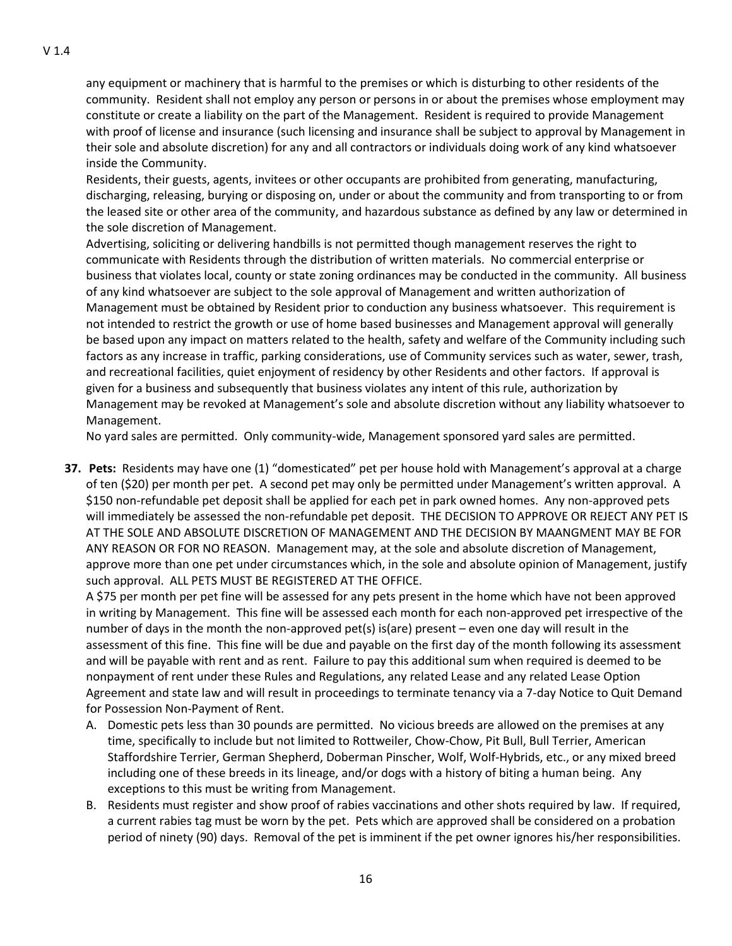any equipment or machinery that is harmful to the premises or which is disturbing to other residents of the community. Resident shall not employ any person or persons in or about the premises whose employment may constitute or create a liability on the part of the Management. Resident is required to provide Management with proof of license and insurance (such licensing and insurance shall be subject to approval by Management in their sole and absolute discretion) for any and all contractors or individuals doing work of any kind whatsoever inside the Community.

Residents, their guests, agents, invitees or other occupants are prohibited from generating, manufacturing, discharging, releasing, burying or disposing on, under or about the community and from transporting to or from the leased site or other area of the community, and hazardous substance as defined by any law or determined in the sole discretion of Management.

Advertising, soliciting or delivering handbills is not permitted though management reserves the right to communicate with Residents through the distribution of written materials. No commercial enterprise or business that violates local, county or state zoning ordinances may be conducted in the community. All business of any kind whatsoever are subject to the sole approval of Management and written authorization of Management must be obtained by Resident prior to conduction any business whatsoever. This requirement is not intended to restrict the growth or use of home based businesses and Management approval will generally be based upon any impact on matters related to the health, safety and welfare of the Community including such factors as any increase in traffic, parking considerations, use of Community services such as water, sewer, trash, and recreational facilities, quiet enjoyment of residency by other Residents and other factors. If approval is given for a business and subsequently that business violates any intent of this rule, authorization by Management may be revoked at Management's sole and absolute discretion without any liability whatsoever to Management.

No yard sales are permitted. Only community-wide, Management sponsored yard sales are permitted.

**37. Pets:** Residents may have one (1) "domesticated" pet per house hold with Management's approval at a charge of ten (\$20) per month per pet. A second pet may only be permitted under Management's written approval. A \$150 non-refundable pet deposit shall be applied for each pet in park owned homes. Any non-approved pets will immediately be assessed the non-refundable pet deposit. THE DECISION TO APPROVE OR REJECT ANY PET IS AT THE SOLE AND ABSOLUTE DISCRETION OF MANAGEMENT AND THE DECISION BY MAANGMENT MAY BE FOR ANY REASON OR FOR NO REASON. Management may, at the sole and absolute discretion of Management, approve more than one pet under circumstances which, in the sole and absolute opinion of Management, justify such approval. ALL PETS MUST BE REGISTERED AT THE OFFICE.

A \$75 per month per pet fine will be assessed for any pets present in the home which have not been approved in writing by Management. This fine will be assessed each month for each non-approved pet irrespective of the number of days in the month the non-approved pet(s) is(are) present – even one day will result in the assessment of this fine. This fine will be due and payable on the first day of the month following its assessment and will be payable with rent and as rent. Failure to pay this additional sum when required is deemed to be nonpayment of rent under these Rules and Regulations, any related Lease and any related Lease Option Agreement and state law and will result in proceedings to terminate tenancy via a 7-day Notice to Quit Demand for Possession Non-Payment of Rent.

- A. Domestic pets less than 30 pounds are permitted. No vicious breeds are allowed on the premises at any time, specifically to include but not limited to Rottweiler, Chow-Chow, Pit Bull, Bull Terrier, American Staffordshire Terrier, German Shepherd, Doberman Pinscher, Wolf, Wolf-Hybrids, etc., or any mixed breed including one of these breeds in its lineage, and/or dogs with a history of biting a human being. Any exceptions to this must be writing from Management.
- B. Residents must register and show proof of rabies vaccinations and other shots required by law. If required, a current rabies tag must be worn by the pet. Pets which are approved shall be considered on a probation period of ninety (90) days. Removal of the pet is imminent if the pet owner ignores his/her responsibilities.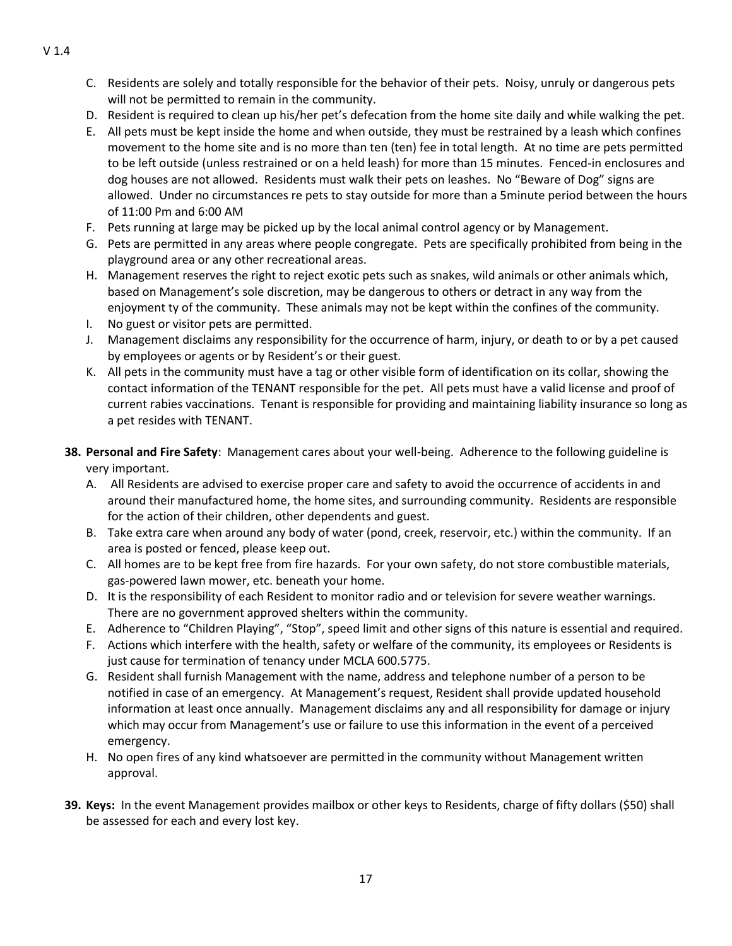- C. Residents are solely and totally responsible for the behavior of their pets. Noisy, unruly or dangerous pets will not be permitted to remain in the community.
- D. Resident is required to clean up his/her pet's defecation from the home site daily and while walking the pet.
- E. All pets must be kept inside the home and when outside, they must be restrained by a leash which confines movement to the home site and is no more than ten (ten) fee in total length. At no time are pets permitted to be left outside (unless restrained or on a held leash) for more than 15 minutes. Fenced-in enclosures and dog houses are not allowed. Residents must walk their pets on leashes. No "Beware of Dog" signs are allowed. Under no circumstances re pets to stay outside for more than a 5minute period between the hours of 11:00 Pm and 6:00 AM
- F. Pets running at large may be picked up by the local animal control agency or by Management.
- G. Pets are permitted in any areas where people congregate. Pets are specifically prohibited from being in the playground area or any other recreational areas.
- H. Management reserves the right to reject exotic pets such as snakes, wild animals or other animals which, based on Management's sole discretion, may be dangerous to others or detract in any way from the enjoyment ty of the community. These animals may not be kept within the confines of the community.
- I. No guest or visitor pets are permitted.
- J. Management disclaims any responsibility for the occurrence of harm, injury, or death to or by a pet caused by employees or agents or by Resident's or their guest.
- K. All pets in the community must have a tag or other visible form of identification on its collar, showing the contact information of the TENANT responsible for the pet. All pets must have a valid license and proof of current rabies vaccinations. Tenant is responsible for providing and maintaining liability insurance so long as a pet resides with TENANT.
- **38. Personal and Fire Safety**: Management cares about your well-being. Adherence to the following guideline is very important.
	- A. All Residents are advised to exercise proper care and safety to avoid the occurrence of accidents in and around their manufactured home, the home sites, and surrounding community. Residents are responsible for the action of their children, other dependents and guest.
	- B. Take extra care when around any body of water (pond, creek, reservoir, etc.) within the community. If an area is posted or fenced, please keep out.
	- C. All homes are to be kept free from fire hazards. For your own safety, do not store combustible materials, gas-powered lawn mower, etc. beneath your home.
	- D. It is the responsibility of each Resident to monitor radio and or television for severe weather warnings. There are no government approved shelters within the community.
	- E. Adherence to "Children Playing", "Stop", speed limit and other signs of this nature is essential and required.
	- F. Actions which interfere with the health, safety or welfare of the community, its employees or Residents is just cause for termination of tenancy under MCLA 600.5775.
	- G. Resident shall furnish Management with the name, address and telephone number of a person to be notified in case of an emergency. At Management's request, Resident shall provide updated household information at least once annually. Management disclaims any and all responsibility for damage or injury which may occur from Management's use or failure to use this information in the event of a perceived emergency.
	- H. No open fires of any kind whatsoever are permitted in the community without Management written approval.
- **39. Keys:** In the event Management provides mailbox or other keys to Residents, charge of fifty dollars (\$50) shall be assessed for each and every lost key.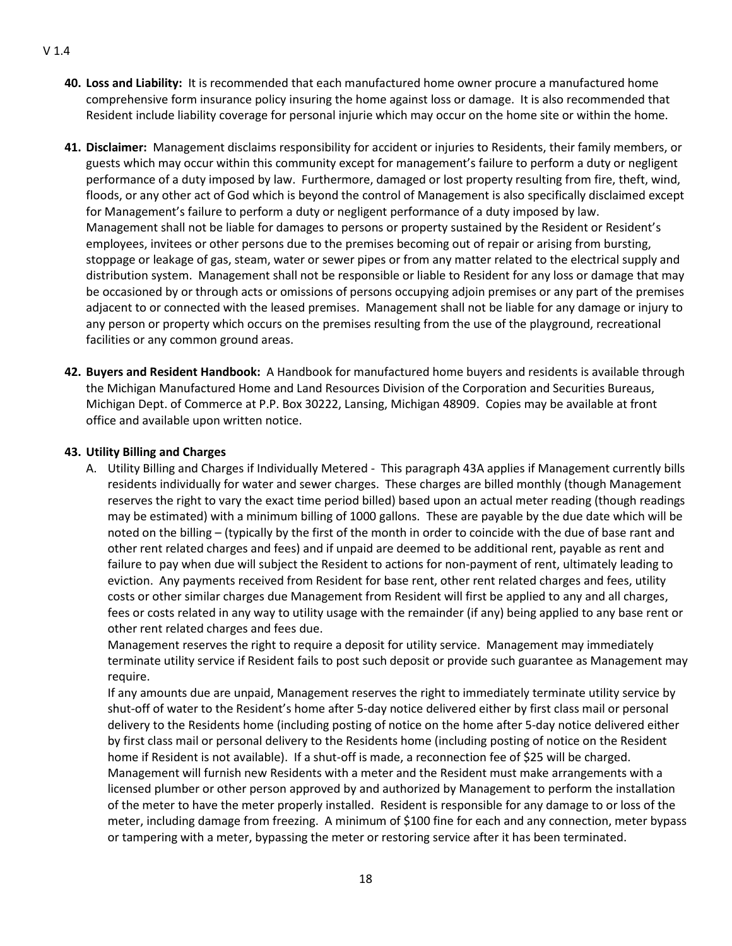- **40. Loss and Liability:** It is recommended that each manufactured home owner procure a manufactured home comprehensive form insurance policy insuring the home against loss or damage. It is also recommended that Resident include liability coverage for personal injurie which may occur on the home site or within the home.
- **41. Disclaimer:** Management disclaims responsibility for accident or injuries to Residents, their family members, or guests which may occur within this community except for management's failure to perform a duty or negligent performance of a duty imposed by law. Furthermore, damaged or lost property resulting from fire, theft, wind, floods, or any other act of God which is beyond the control of Management is also specifically disclaimed except for Management's failure to perform a duty or negligent performance of a duty imposed by law. Management shall not be liable for damages to persons or property sustained by the Resident or Resident's employees, invitees or other persons due to the premises becoming out of repair or arising from bursting, stoppage or leakage of gas, steam, water or sewer pipes or from any matter related to the electrical supply and distribution system. Management shall not be responsible or liable to Resident for any loss or damage that may be occasioned by or through acts or omissions of persons occupying adjoin premises or any part of the premises adjacent to or connected with the leased premises. Management shall not be liable for any damage or injury to any person or property which occurs on the premises resulting from the use of the playground, recreational facilities or any common ground areas.
- **42. Buyers and Resident Handbook:** A Handbook for manufactured home buyers and residents is available through the Michigan Manufactured Home and Land Resources Division of the Corporation and Securities Bureaus, Michigan Dept. of Commerce at P.P. Box 30222, Lansing, Michigan 48909. Copies may be available at front office and available upon written notice.

## **43. Utility Billing and Charges**

A. Utility Billing and Charges if Individually Metered - This paragraph 43A applies if Management currently bills residents individually for water and sewer charges. These charges are billed monthly (though Management reserves the right to vary the exact time period billed) based upon an actual meter reading (though readings may be estimated) with a minimum billing of 1000 gallons. These are payable by the due date which will be noted on the billing – (typically by the first of the month in order to coincide with the due of base rant and other rent related charges and fees) and if unpaid are deemed to be additional rent, payable as rent and failure to pay when due will subject the Resident to actions for non-payment of rent, ultimately leading to eviction. Any payments received from Resident for base rent, other rent related charges and fees, utility costs or other similar charges due Management from Resident will first be applied to any and all charges, fees or costs related in any way to utility usage with the remainder (if any) being applied to any base rent or other rent related charges and fees due.

Management reserves the right to require a deposit for utility service. Management may immediately terminate utility service if Resident fails to post such deposit or provide such guarantee as Management may require.

If any amounts due are unpaid, Management reserves the right to immediately terminate utility service by shut-off of water to the Resident's home after 5-day notice delivered either by first class mail or personal delivery to the Residents home (including posting of notice on the home after 5-day notice delivered either by first class mail or personal delivery to the Residents home (including posting of notice on the Resident home if Resident is not available). If a shut-off is made, a reconnection fee of \$25 will be charged. Management will furnish new Residents with a meter and the Resident must make arrangements with a licensed plumber or other person approved by and authorized by Management to perform the installation of the meter to have the meter properly installed. Resident is responsible for any damage to or loss of the meter, including damage from freezing. A minimum of \$100 fine for each and any connection, meter bypass or tampering with a meter, bypassing the meter or restoring service after it has been terminated.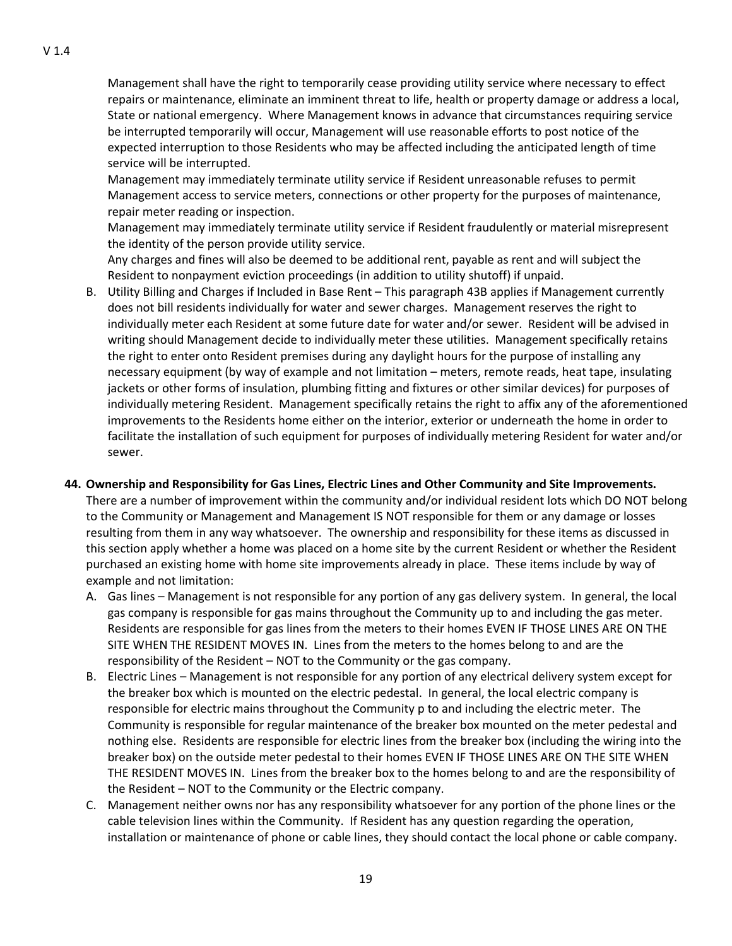Management shall have the right to temporarily cease providing utility service where necessary to effect repairs or maintenance, eliminate an imminent threat to life, health or property damage or address a local, State or national emergency. Where Management knows in advance that circumstances requiring service be interrupted temporarily will occur, Management will use reasonable efforts to post notice of the expected interruption to those Residents who may be affected including the anticipated length of time service will be interrupted.

Management may immediately terminate utility service if Resident unreasonable refuses to permit Management access to service meters, connections or other property for the purposes of maintenance, repair meter reading or inspection.

Management may immediately terminate utility service if Resident fraudulently or material misrepresent the identity of the person provide utility service.

Any charges and fines will also be deemed to be additional rent, payable as rent and will subject the Resident to nonpayment eviction proceedings (in addition to utility shutoff) if unpaid.

B. Utility Billing and Charges if Included in Base Rent – This paragraph 43B applies if Management currently does not bill residents individually for water and sewer charges. Management reserves the right to individually meter each Resident at some future date for water and/or sewer. Resident will be advised in writing should Management decide to individually meter these utilities. Management specifically retains the right to enter onto Resident premises during any daylight hours for the purpose of installing any necessary equipment (by way of example and not limitation – meters, remote reads, heat tape, insulating jackets or other forms of insulation, plumbing fitting and fixtures or other similar devices) for purposes of individually metering Resident. Management specifically retains the right to affix any of the aforementioned improvements to the Residents home either on the interior, exterior or underneath the home in order to facilitate the installation of such equipment for purposes of individually metering Resident for water and/or sewer.

## **44. Ownership and Responsibility for Gas Lines, Electric Lines and Other Community and Site Improvements.**

There are a number of improvement within the community and/or individual resident lots which DO NOT belong to the Community or Management and Management IS NOT responsible for them or any damage or losses resulting from them in any way whatsoever. The ownership and responsibility for these items as discussed in this section apply whether a home was placed on a home site by the current Resident or whether the Resident purchased an existing home with home site improvements already in place. These items include by way of example and not limitation:

- A. Gas lines Management is not responsible for any portion of any gas delivery system. In general, the local gas company is responsible for gas mains throughout the Community up to and including the gas meter. Residents are responsible for gas lines from the meters to their homes EVEN IF THOSE LINES ARE ON THE SITE WHEN THE RESIDENT MOVES IN. Lines from the meters to the homes belong to and are the responsibility of the Resident – NOT to the Community or the gas company.
- B. Electric Lines Management is not responsible for any portion of any electrical delivery system except for the breaker box which is mounted on the electric pedestal. In general, the local electric company is responsible for electric mains throughout the Community p to and including the electric meter. The Community is responsible for regular maintenance of the breaker box mounted on the meter pedestal and nothing else. Residents are responsible for electric lines from the breaker box (including the wiring into the breaker box) on the outside meter pedestal to their homes EVEN IF THOSE LINES ARE ON THE SITE WHEN THE RESIDENT MOVES IN. Lines from the breaker box to the homes belong to and are the responsibility of the Resident – NOT to the Community or the Electric company.
- C. Management neither owns nor has any responsibility whatsoever for any portion of the phone lines or the cable television lines within the Community. If Resident has any question regarding the operation, installation or maintenance of phone or cable lines, they should contact the local phone or cable company.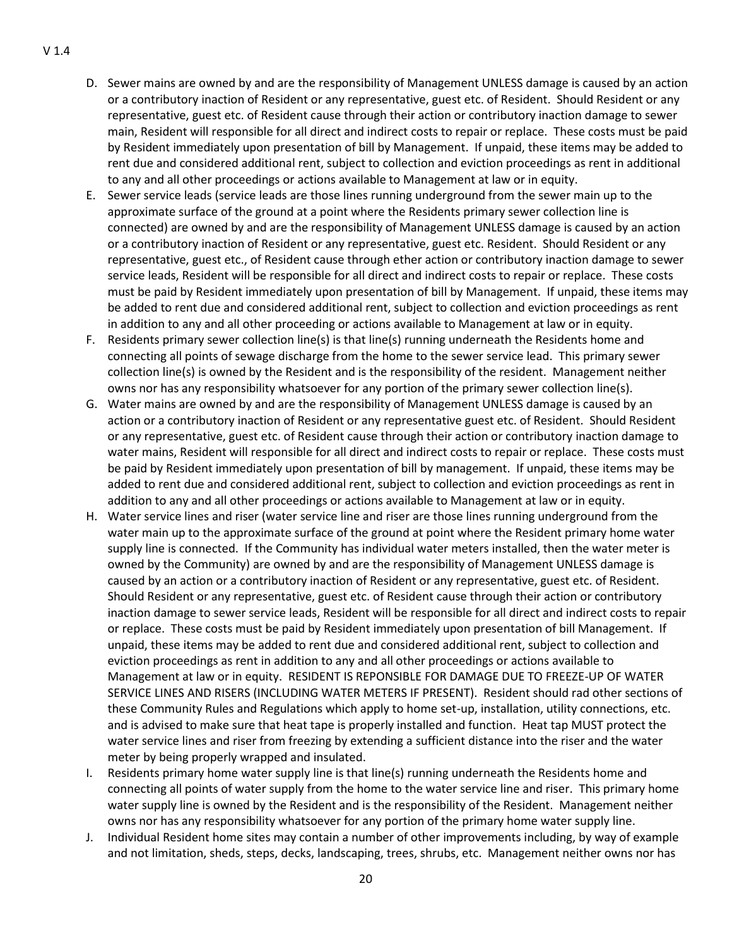- D. Sewer mains are owned by and are the responsibility of Management UNLESS damage is caused by an action or a contributory inaction of Resident or any representative, guest etc. of Resident. Should Resident or any representative, guest etc. of Resident cause through their action or contributory inaction damage to sewer main, Resident will responsible for all direct and indirect costs to repair or replace. These costs must be paid by Resident immediately upon presentation of bill by Management. If unpaid, these items may be added to rent due and considered additional rent, subject to collection and eviction proceedings as rent in additional to any and all other proceedings or actions available to Management at law or in equity.
- E. Sewer service leads (service leads are those lines running underground from the sewer main up to the approximate surface of the ground at a point where the Residents primary sewer collection line is connected) are owned by and are the responsibility of Management UNLESS damage is caused by an action or a contributory inaction of Resident or any representative, guest etc. Resident. Should Resident or any representative, guest etc., of Resident cause through ether action or contributory inaction damage to sewer service leads, Resident will be responsible for all direct and indirect costs to repair or replace. These costs must be paid by Resident immediately upon presentation of bill by Management. If unpaid, these items may be added to rent due and considered additional rent, subject to collection and eviction proceedings as rent in addition to any and all other proceeding or actions available to Management at law or in equity.
- F. Residents primary sewer collection line(s) is that line(s) running underneath the Residents home and connecting all points of sewage discharge from the home to the sewer service lead. This primary sewer collection line(s) is owned by the Resident and is the responsibility of the resident. Management neither owns nor has any responsibility whatsoever for any portion of the primary sewer collection line(s).
- G. Water mains are owned by and are the responsibility of Management UNLESS damage is caused by an action or a contributory inaction of Resident or any representative guest etc. of Resident. Should Resident or any representative, guest etc. of Resident cause through their action or contributory inaction damage to water mains, Resident will responsible for all direct and indirect costs to repair or replace. These costs must be paid by Resident immediately upon presentation of bill by management. If unpaid, these items may be added to rent due and considered additional rent, subject to collection and eviction proceedings as rent in addition to any and all other proceedings or actions available to Management at law or in equity.
- H. Water service lines and riser (water service line and riser are those lines running underground from the water main up to the approximate surface of the ground at point where the Resident primary home water supply line is connected. If the Community has individual water meters installed, then the water meter is owned by the Community) are owned by and are the responsibility of Management UNLESS damage is caused by an action or a contributory inaction of Resident or any representative, guest etc. of Resident. Should Resident or any representative, guest etc. of Resident cause through their action or contributory inaction damage to sewer service leads, Resident will be responsible for all direct and indirect costs to repair or replace. These costs must be paid by Resident immediately upon presentation of bill Management. If unpaid, these items may be added to rent due and considered additional rent, subject to collection and eviction proceedings as rent in addition to any and all other proceedings or actions available to Management at law or in equity. RESIDENT IS REPONSIBLE FOR DAMAGE DUE TO FREEZE-UP OF WATER SERVICE LINES AND RISERS (INCLUDING WATER METERS IF PRESENT). Resident should rad other sections of these Community Rules and Regulations which apply to home set-up, installation, utility connections, etc. and is advised to make sure that heat tape is properly installed and function. Heat tap MUST protect the water service lines and riser from freezing by extending a sufficient distance into the riser and the water meter by being properly wrapped and insulated.
- I. Residents primary home water supply line is that line(s) running underneath the Residents home and connecting all points of water supply from the home to the water service line and riser. This primary home water supply line is owned by the Resident and is the responsibility of the Resident. Management neither owns nor has any responsibility whatsoever for any portion of the primary home water supply line.
- J. Individual Resident home sites may contain a number of other improvements including, by way of example and not limitation, sheds, steps, decks, landscaping, trees, shrubs, etc. Management neither owns nor has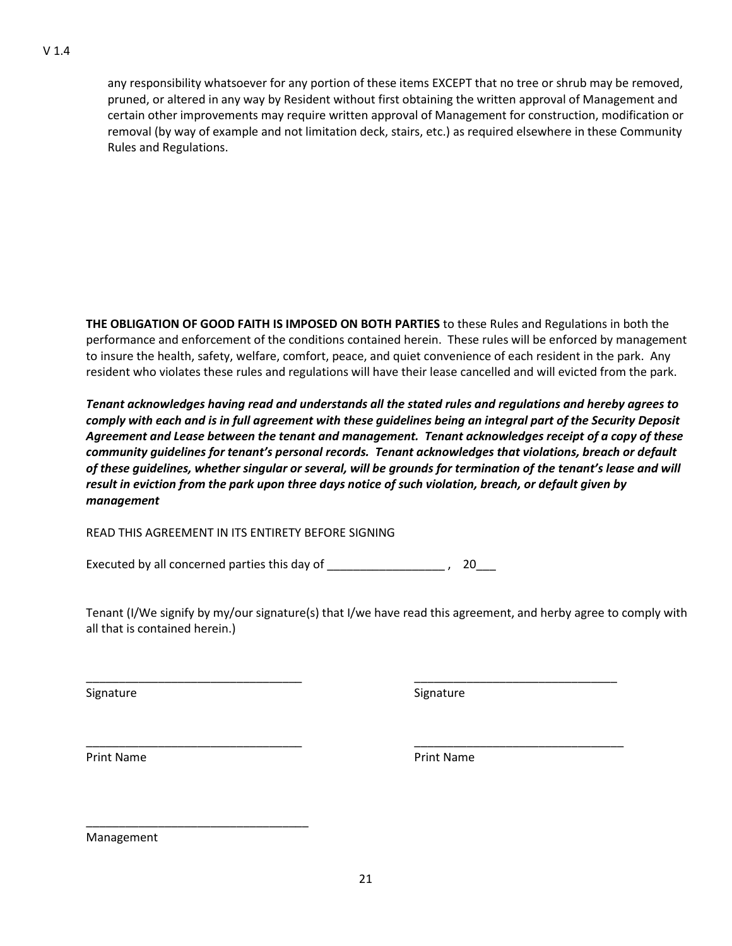any responsibility whatsoever for any portion of these items EXCEPT that no tree or shrub may be removed, pruned, or altered in any way by Resident without first obtaining the written approval of Management and certain other improvements may require written approval of Management for construction, modification or removal (by way of example and not limitation deck, stairs, etc.) as required elsewhere in these Community Rules and Regulations.

**THE OBLIGATION OF GOOD FAITH IS IMPOSED ON BOTH PARTIES** to these Rules and Regulations in both the performance and enforcement of the conditions contained herein. These rules will be enforced by management to insure the health, safety, welfare, comfort, peace, and quiet convenience of each resident in the park. Any resident who violates these rules and regulations will have their lease cancelled and will evicted from the park.

*Tenant acknowledges having read and understands all the stated rules and regulations and hereby agrees to comply with each and is in full agreement with these guidelines being an integral part of the Security Deposit Agreement and Lease between the tenant and management. Tenant acknowledges receipt of a copy of these community guidelines for tenant's personal records. Tenant acknowledges that violations, breach or default of these guidelines, whether singular or several, will be grounds for termination of the tenant's lease and will result in eviction from the park upon three days notice of such violation, breach, or default given by management*

READ THIS AGREEMENT IN ITS ENTIRETY BEFORE SIGNING

Executed by all concerned parties this day of \_\_\_\_\_\_\_\_\_\_\_\_\_\_\_\_\_\_\_\_\_, 20\_\_\_

Tenant (I/We signify by my/our signature(s) that I/we have read this agreement, and herby agree to comply with all that is contained herein.)

\_\_\_\_\_\_\_\_\_\_\_\_\_\_\_\_\_\_\_\_\_\_\_\_\_\_\_\_\_\_\_\_\_ \_\_\_\_\_\_\_\_\_\_\_\_\_\_\_\_\_\_\_\_\_\_\_\_\_\_\_\_\_\_\_

\_\_\_\_\_\_\_\_\_\_\_\_\_\_\_\_\_\_\_\_\_\_\_\_\_\_\_\_\_\_\_\_\_ \_\_\_\_\_\_\_\_\_\_\_\_\_\_\_\_\_\_\_\_\_\_\_\_\_\_\_\_\_\_\_\_

Signature Signature Signature Signature Signature Signature Signature Signature Signature

Print Name **Print Name** Print Name **Print Name** 

Management

\_\_\_\_\_\_\_\_\_\_\_\_\_\_\_\_\_\_\_\_\_\_\_\_\_\_\_\_\_\_\_\_\_\_